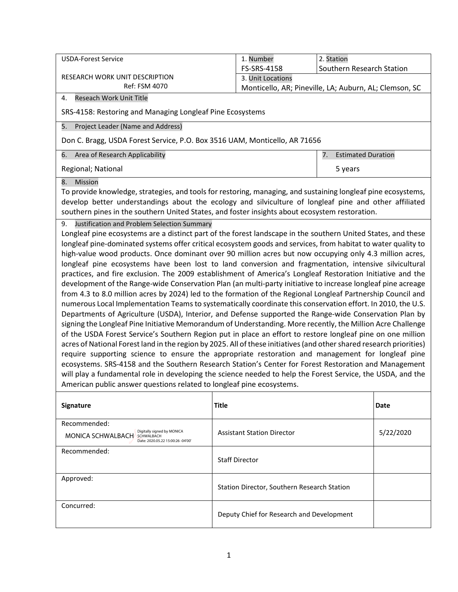| <b>USDA-Forest Service</b>                                                                                                                                                                                                                                                                                                                                                                                                                                                                                                                                                                                                                                                                                                                                                                                                                                                                                                                                                                                                                                                                                                                                                                                                                                                                                                                                                                                                                                                                                                                                                                                                                                            |              | 1. Number                                              | 2. Station                      |           |  |  |  |  |
|-----------------------------------------------------------------------------------------------------------------------------------------------------------------------------------------------------------------------------------------------------------------------------------------------------------------------------------------------------------------------------------------------------------------------------------------------------------------------------------------------------------------------------------------------------------------------------------------------------------------------------------------------------------------------------------------------------------------------------------------------------------------------------------------------------------------------------------------------------------------------------------------------------------------------------------------------------------------------------------------------------------------------------------------------------------------------------------------------------------------------------------------------------------------------------------------------------------------------------------------------------------------------------------------------------------------------------------------------------------------------------------------------------------------------------------------------------------------------------------------------------------------------------------------------------------------------------------------------------------------------------------------------------------------------|--------------|--------------------------------------------------------|---------------------------------|-----------|--|--|--|--|
|                                                                                                                                                                                                                                                                                                                                                                                                                                                                                                                                                                                                                                                                                                                                                                                                                                                                                                                                                                                                                                                                                                                                                                                                                                                                                                                                                                                                                                                                                                                                                                                                                                                                       |              | FS-SRS-4158                                            | Southern Research Station       |           |  |  |  |  |
| <b>RESEARCH WORK UNIT DESCRIPTION</b><br>Ref: FSM 4070                                                                                                                                                                                                                                                                                                                                                                                                                                                                                                                                                                                                                                                                                                                                                                                                                                                                                                                                                                                                                                                                                                                                                                                                                                                                                                                                                                                                                                                                                                                                                                                                                |              | 3. Unit Locations                                      |                                 |           |  |  |  |  |
| Reseach Work Unit Title<br>4.                                                                                                                                                                                                                                                                                                                                                                                                                                                                                                                                                                                                                                                                                                                                                                                                                                                                                                                                                                                                                                                                                                                                                                                                                                                                                                                                                                                                                                                                                                                                                                                                                                         |              | Monticello, AR; Pineville, LA; Auburn, AL; Clemson, SC |                                 |           |  |  |  |  |
| SRS-4158: Restoring and Managing Longleaf Pine Ecosystems                                                                                                                                                                                                                                                                                                                                                                                                                                                                                                                                                                                                                                                                                                                                                                                                                                                                                                                                                                                                                                                                                                                                                                                                                                                                                                                                                                                                                                                                                                                                                                                                             |              |                                                        |                                 |           |  |  |  |  |
| Project Leader (Name and Address)<br>5.                                                                                                                                                                                                                                                                                                                                                                                                                                                                                                                                                                                                                                                                                                                                                                                                                                                                                                                                                                                                                                                                                                                                                                                                                                                                                                                                                                                                                                                                                                                                                                                                                               |              |                                                        |                                 |           |  |  |  |  |
| Don C. Bragg, USDA Forest Service, P.O. Box 3516 UAM, Monticello, AR 71656                                                                                                                                                                                                                                                                                                                                                                                                                                                                                                                                                                                                                                                                                                                                                                                                                                                                                                                                                                                                                                                                                                                                                                                                                                                                                                                                                                                                                                                                                                                                                                                            |              |                                                        |                                 |           |  |  |  |  |
| Area of Research Applicability<br>6.                                                                                                                                                                                                                                                                                                                                                                                                                                                                                                                                                                                                                                                                                                                                                                                                                                                                                                                                                                                                                                                                                                                                                                                                                                                                                                                                                                                                                                                                                                                                                                                                                                  |              |                                                        | <b>Estimated Duration</b><br>7. |           |  |  |  |  |
| Regional; National                                                                                                                                                                                                                                                                                                                                                                                                                                                                                                                                                                                                                                                                                                                                                                                                                                                                                                                                                                                                                                                                                                                                                                                                                                                                                                                                                                                                                                                                                                                                                                                                                                                    | 5 years      |                                                        |                                 |           |  |  |  |  |
| 8.<br>Mission<br>To provide knowledge, strategies, and tools for restoring, managing, and sustaining longleaf pine ecosystems,<br>develop better understandings about the ecology and silviculture of longleaf pine and other affiliated<br>southern pines in the southern United States, and foster insights about ecosystem restoration.<br>Justification and Problem Selection Summary<br>9.<br>Longleaf pine ecosystems are a distinct part of the forest landscape in the southern United States, and these                                                                                                                                                                                                                                                                                                                                                                                                                                                                                                                                                                                                                                                                                                                                                                                                                                                                                                                                                                                                                                                                                                                                                      |              |                                                        |                                 |           |  |  |  |  |
| longleaf pine-dominated systems offer critical ecosystem goods and services, from habitat to water quality to<br>high-value wood products. Once dominant over 90 million acres but now occupying only 4.3 million acres,<br>longleaf pine ecosystems have been lost to land conversion and fragmentation, intensive silvicultural<br>practices, and fire exclusion. The 2009 establishment of America's Longleaf Restoration Initiative and the<br>development of the Range-wide Conservation Plan (an multi-party initiative to increase longleaf pine acreage<br>from 4.3 to 8.0 million acres by 2024) led to the formation of the Regional Longleaf Partnership Council and<br>numerous Local Implementation Teams to systematically coordinate this conservation effort. In 2010, the U.S.<br>Departments of Agriculture (USDA), Interior, and Defense supported the Range-wide Conservation Plan by<br>signing the Longleaf Pine Initiative Memorandum of Understanding. More recently, the Million Acre Challenge<br>of the USDA Forest Service's Southern Region put in place an effort to restore longleaf pine on one million<br>acres of National Forest land in the region by 2025. All of these initiatives (and other shared research priorities)<br>require supporting science to ensure the appropriate restoration and management for longleaf pine<br>ecosystems. SRS-4158 and the Southern Research Station's Center for Forest Restoration and Management<br>will play a fundamental role in developing the science needed to help the Forest Service, the USDA, and the<br>American public answer questions related to longleaf pine ecosystems. |              |                                                        |                                 |           |  |  |  |  |
| Signature                                                                                                                                                                                                                                                                                                                                                                                                                                                                                                                                                                                                                                                                                                                                                                                                                                                                                                                                                                                                                                                                                                                                                                                                                                                                                                                                                                                                                                                                                                                                                                                                                                                             | <b>Title</b> |                                                        |                                 | Date      |  |  |  |  |
| Recommended:<br>Digitally signed by MONICA<br><b>MONICA SCHWALBACH</b> SCHWALBACH<br>Date: 2020.05.22 15:00:26 -04'00'                                                                                                                                                                                                                                                                                                                                                                                                                                                                                                                                                                                                                                                                                                                                                                                                                                                                                                                                                                                                                                                                                                                                                                                                                                                                                                                                                                                                                                                                                                                                                |              | <b>Assistant Station Director</b>                      |                                 | 5/22/2020 |  |  |  |  |
| Recommended:<br>TORAL PATEL-WEYNAND Digitally signed by TORAL PATEL-WEYNAND                                                                                                                                                                                                                                                                                                                                                                                                                                                                                                                                                                                                                                                                                                                                                                                                                                                                                                                                                                                                                                                                                                                                                                                                                                                                                                                                                                                                                                                                                                                                                                                           |              | <b>Staff Director</b>                                  |                                 |           |  |  |  |  |
| Approved:                                                                                                                                                                                                                                                                                                                                                                                                                                                                                                                                                                                                                                                                                                                                                                                                                                                                                                                                                                                                                                                                                                                                                                                                                                                                                                                                                                                                                                                                                                                                                                                                                                                             |              | Station Director, Southern Research Station            |                                 |           |  |  |  |  |
| Concurred:                                                                                                                                                                                                                                                                                                                                                                                                                                                                                                                                                                                                                                                                                                                                                                                                                                                                                                                                                                                                                                                                                                                                                                                                                                                                                                                                                                                                                                                                                                                                                                                                                                                            |              | Deputy Chief for Research and Development              |                                 |           |  |  |  |  |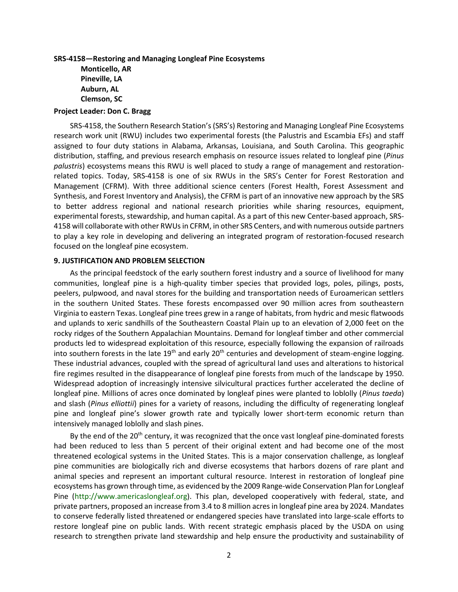## **SRS-4158—Restoring and Managing Longleaf Pine Ecosystems Monticello, AR Pineville, LA Auburn, AL Clemson, SC**

### **Project Leader: Don C. Bragg**

SRS-4158, the Southern Research Station's (SRS's) Restoring and Managing Longleaf Pine Ecosystems research work unit (RWU) includes two experimental forests (the Palustris and Escambia EFs) and staff assigned to four duty stations in Alabama, Arkansas, Louisiana, and South Carolina. This geographic distribution, staffing, and previous research emphasis on resource issues related to longleaf pine (*Pinus palustris*) ecosystems means this RWU is well placed to study a range of management and restorationrelated topics. Today, SRS-4158 is one of six RWUs in the SRS's Center for Forest Restoration and Management (CFRM). With three additional science centers (Forest Health, Forest Assessment and Synthesis, and Forest Inventory and Analysis), the CFRM is part of an innovative new approach by the SRS to better address regional and national research priorities while sharing resources, equipment, experimental forests, stewardship, and human capital. As a part of this new Center-based approach, SRS-4158 will collaborate with other RWUs in CFRM, in other SRS Centers, and with numerous outside partners to play a key role in developing and delivering an integrated program of restoration-focused research focused on the longleaf pine ecosystem.

### **9. JUSTIFICATION AND PROBLEM SELECTION**

As the principal feedstock of the early southern forest industry and a source of livelihood for many communities, longleaf pine is a high-quality timber species that provided logs, poles, pilings, posts, peelers, pulpwood, and naval stores for the building and transportation needs of Euroamerican settlers in the southern United States. These forests encompassed over 90 million acres from southeastern Virginia to eastern Texas. Longleaf pine trees grew in a range of habitats, from hydric and mesic flatwoods and uplands to xeric sandhills of the Southeastern Coastal Plain up to an elevation of 2,000 feet on the rocky ridges of the Southern Appalachian Mountains. Demand for longleaf timber and other commercial products led to widespread exploitation of this resource, especially following the expansion of railroads into southern forests in the late 19<sup>th</sup> and early 20<sup>th</sup> centuries and development of steam-engine logging. These industrial advances, coupled with the spread of agricultural land uses and alterations to historical fire regimes resulted in the disappearance of longleaf pine forests from much of the landscape by 1950. Widespread adoption of increasingly intensive silvicultural practices further accelerated the decline of longleaf pine. Millions of acres once dominated by longleaf pines were planted to loblolly (*Pinus taeda*) and slash (*Pinus elliottii*) pines for a variety of reasons, including the difficulty of regenerating longleaf pine and longleaf pine's slower growth rate and typically lower short-term economic return than intensively managed loblolly and slash pines.

By the end of the 20<sup>th</sup> century, it was recognized that the once vast longleaf pine-dominated forests had been reduced to less than 5 percent of their original extent and had become one of the most threatened ecological systems in the United States. This is a major conservation challenge, as longleaf pine communities are biologically rich and diverse ecosystems that harbors dozens of rare plant and animal species and represent an important cultural resource. Interest in restoration of longleaf pine ecosystems has grown through time, as evidenced by the 2009 Range-wide Conservation Plan for Longleaf Pine [\(http://www.americaslongleaf.org\)](http://www.americaslongleaf.org/). This plan, developed cooperatively with federal, state, and private partners, proposed an increase from 3.4 to 8 million acres in longleaf pine area by 2024. Mandates to conserve federally listed threatened or endangered species have translated into large-scale efforts to restore longleaf pine on public lands. With recent strategic emphasis placed by the USDA on using research to strengthen private land stewardship and help ensure the productivity and sustainability of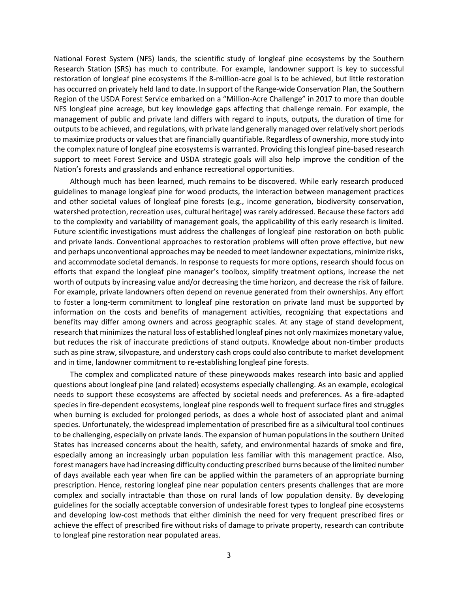National Forest System (NFS) lands, the scientific study of longleaf pine ecosystems by the Southern Research Station (SRS) has much to contribute. For example, landowner support is key to successful restoration of longleaf pine ecosystems if the 8-million-acre goal is to be achieved, but little restoration has occurred on privately held land to date. In support of the Range-wide Conservation Plan, the Southern Region of the USDA Forest Service embarked on a "Million-Acre Challenge" in 2017 to more than double NFS longleaf pine acreage, but key knowledge gaps affecting that challenge remain. For example, the management of public and private land differs with regard to inputs, outputs, the duration of time for outputs to be achieved, and regulations, with private land generally managed over relatively short periods to maximize products or values that are financially quantifiable. Regardless of ownership, more study into the complex nature of longleaf pine ecosystems is warranted. Providing this longleaf pine-based research support to meet Forest Service and USDA strategic goals will also help improve the condition of the Nation's forests and grasslands and enhance recreational opportunities.

Although much has been learned, much remains to be discovered. While early research produced guidelines to manage longleaf pine for wood products, the interaction between management practices and other societal values of longleaf pine forests (e.g., income generation, biodiversity conservation, watershed protection, recreation uses, cultural heritage) was rarely addressed. Because these factors add to the complexity and variability of management goals, the applicability of this early research is limited. Future scientific investigations must address the challenges of longleaf pine restoration on both public and private lands. Conventional approaches to restoration problems will often prove effective, but new and perhaps unconventional approaches may be needed to meet landowner expectations, minimize risks, and accommodate societal demands. In response to requests for more options, research should focus on efforts that expand the longleaf pine manager's toolbox, simplify treatment options, increase the net worth of outputs by increasing value and/or decreasing the time horizon, and decrease the risk of failure. For example, private landowners often depend on revenue generated from their ownerships. Any effort to foster a long-term commitment to longleaf pine restoration on private land must be supported by information on the costs and benefits of management activities, recognizing that expectations and benefits may differ among owners and across geographic scales. At any stage of stand development, research that minimizes the natural loss of established longleaf pines not only maximizes monetary value, but reduces the risk of inaccurate predictions of stand outputs. Knowledge about non-timber products such as pine straw, silvopasture, and understory cash crops could also contribute to market development and in time, landowner commitment to re-establishing longleaf pine forests.

The complex and complicated nature of these pineywoods makes research into basic and applied questions about longleaf pine (and related) ecosystems especially challenging. As an example, ecological needs to support these ecosystems are affected by societal needs and preferences. As a fire-adapted species in fire-dependent ecosystems, longleaf pine responds well to frequent surface fires and struggles when burning is excluded for prolonged periods, as does a whole host of associated plant and animal species. Unfortunately, the widespread implementation of prescribed fire as a silvicultural tool continues to be challenging, especially on private lands. The expansion of human populations in the southern United States has increased concerns about the health, safety, and environmental hazards of smoke and fire, especially among an increasingly urban population less familiar with this management practice. Also, forest managers have had increasing difficulty conducting prescribed burns because of the limited number of days available each year when fire can be applied within the parameters of an appropriate burning prescription. Hence, restoring longleaf pine near population centers presents challenges that are more complex and socially intractable than those on rural lands of low population density. By developing guidelines for the socially acceptable conversion of undesirable forest types to longleaf pine ecosystems and developing low-cost methods that either diminish the need for very frequent prescribed fires or achieve the effect of prescribed fire without risks of damage to private property, research can contribute to longleaf pine restoration near populated areas.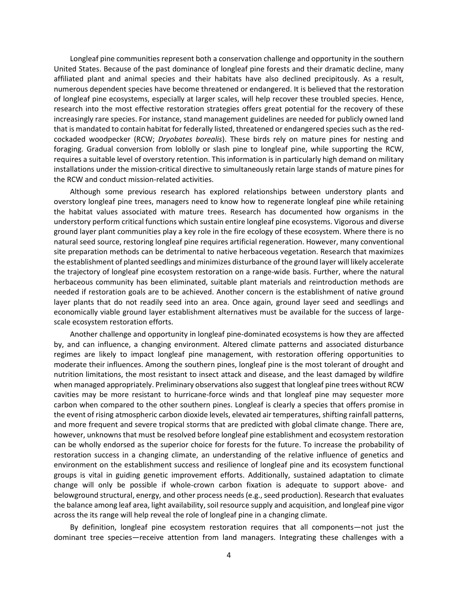Longleaf pine communities represent both a conservation challenge and opportunity in the southern United States. Because of the past dominance of longleaf pine forests and their dramatic decline, many affiliated plant and animal species and their habitats have also declined precipitously. As a result, numerous dependent species have become threatened or endangered. It is believed that the restoration of longleaf pine ecosystems, especially at larger scales, will help recover these troubled species. Hence, research into the most effective restoration strategies offers great potential for the recovery of these increasingly rare species. For instance, stand management guidelines are needed for publicly owned land that is mandated to contain habitat for federally listed, threatened or endangered species such as the redcockaded woodpecker (RCW; *Dryobates borealis*). These birds rely on mature pines for nesting and foraging. Gradual conversion from loblolly or slash pine to longleaf pine, while supporting the RCW, requires a suitable level of overstory retention. This information is in particularly high demand on military installations under the mission-critical directive to simultaneously retain large stands of mature pines for the RCW and conduct mission-related activities.

Although some previous research has explored relationships between understory plants and overstory longleaf pine trees, managers need to know how to regenerate longleaf pine while retaining the habitat values associated with mature trees. Research has documented how organisms in the understory perform critical functions which sustain entire longleaf pine ecosystems. Vigorous and diverse ground layer plant communities play a key role in the fire ecology of these ecosystem. Where there is no natural seed source, restoring longleaf pine requires artificial regeneration. However, many conventional site preparation methods can be detrimental to native herbaceous vegetation. Research that maximizes the establishment of planted seedlings and minimizes disturbance of the ground layer will likely accelerate the trajectory of longleaf pine ecosystem restoration on a range-wide basis. Further, where the natural herbaceous community has been eliminated, suitable plant materials and reintroduction methods are needed if restoration goals are to be achieved. Another concern is the establishment of native ground layer plants that do not readily seed into an area. Once again, ground layer seed and seedlings and economically viable ground layer establishment alternatives must be available for the success of largescale ecosystem restoration efforts.

Another challenge and opportunity in longleaf pine-dominated ecosystems is how they are affected by, and can influence, a changing environment. Altered climate patterns and associated disturbance regimes are likely to impact longleaf pine management, with restoration offering opportunities to moderate their influences. Among the southern pines, longleaf pine is the most tolerant of drought and nutrition limitations, the most resistant to insect attack and disease, and the least damaged by wildfire when managed appropriately. Preliminary observations also suggest that longleaf pine trees without RCW cavities may be more resistant to hurricane-force winds and that longleaf pine may sequester more carbon when compared to the other southern pines. Longleaf is clearly a species that offers promise in the event of rising atmospheric carbon dioxide levels, elevated air temperatures, shifting rainfall patterns, and more frequent and severe tropical storms that are predicted with global climate change. There are, however, unknowns that must be resolved before longleaf pine establishment and ecosystem restoration can be wholly endorsed as the superior choice for forests for the future. To increase the probability of restoration success in a changing climate, an understanding of the relative influence of genetics and environment on the establishment success and resilience of longleaf pine and its ecosystem functional groups is vital in guiding genetic improvement efforts. Additionally, sustained adaptation to climate change will only be possible if whole-crown carbon fixation is adequate to support above- and belowground structural, energy, and other process needs (e.g., seed production). Research that evaluates the balance among leaf area, light availability, soil resource supply and acquisition, and longleaf pine vigor across the its range will help reveal the role of longleaf pine in a changing climate.

By definition, longleaf pine ecosystem restoration requires that all components—not just the dominant tree species—receive attention from land managers. Integrating these challenges with a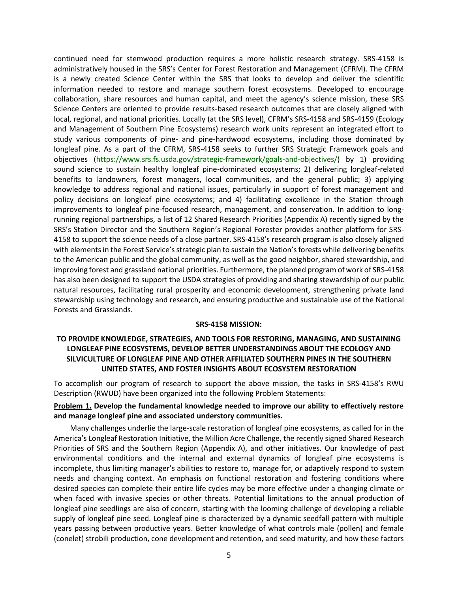continued need for stemwood production requires a more holistic research strategy. SRS-4158 is administratively housed in the SRS's Center for Forest Restoration and Management (CFRM). The CFRM is a newly created Science Center within the SRS that looks to develop and deliver the scientific information needed to restore and manage southern forest ecosystems. Developed to encourage collaboration, share resources and human capital, and meet the agency's science mission, these SRS Science Centers are oriented to provide results-based research outcomes that are closely aligned with local, regional, and national priorities. Locally (at the SRS level), CFRM's SRS-4158 and SRS-4159 (Ecology and Management of Southern Pine Ecosystems) research work units represent an integrated effort to study various components of pine- and pine-hardwood ecosystems, including those dominated by longleaf pine. As a part of the CFRM, SRS-4158 seeks to further SRS Strategic Framework goals and objectives [\(https://www.srs.fs.usda.gov/strategic-framework/goals-and-objectives/\)](https://www.srs.fs.usda.gov/strategic-framework/goals-and-objectives/) by 1) providing sound science to sustain healthy longleaf pine-dominated ecosystems; 2) delivering longleaf-related benefits to landowners, forest managers, local communities, and the general public; 3) applying knowledge to address regional and national issues, particularly in support of forest management and policy decisions on longleaf pine ecosystems; and 4) facilitating excellence in the Station through improvements to longleaf pine-focused research, management, and conservation. In addition to longrunning regional partnerships, a list of 12 Shared Research Priorities (Appendix A) recently signed by the SRS's Station Director and the Southern Region's Regional Forester provides another platform for SRS-4158 to support the science needs of a close partner. SRS-4158's research program is also closely aligned with elements in the Forest Service's strategic plan to sustain the Nation's forests while delivering benefits to the American public and the global community, as well as the good neighbor, shared stewardship, and improving forest and grassland national priorities. Furthermore, the planned program of work of SRS-4158 has also been designed to support the USDA strategies of providing and sharing stewardship of our public natural resources, facilitating rural prosperity and economic development, strengthening private land stewardship using technology and research, and ensuring productive and sustainable use of the National Forests and Grasslands.

### **SRS-4158 MISSION:**

## **TO PROVIDE KNOWLEDGE, STRATEGIES, AND TOOLS FOR RESTORING, MANAGING, AND SUSTAINING LONGLEAF PINE ECOSYSTEMS, DEVELOP BETTER UNDERSTANDINGS ABOUT THE ECOLOGY AND SILVICULTURE OF LONGLEAF PINE AND OTHER AFFILIATED SOUTHERN PINES IN THE SOUTHERN UNITED STATES, AND FOSTER INSIGHTS ABOUT ECOSYSTEM RESTORATION**

To accomplish our program of research to support the above mission, the tasks in SRS-4158's RWU Description (RWUD) have been organized into the following Problem Statements:

### **Problem 1. Develop the fundamental knowledge needed to improve our ability to effectively restore and manage longleaf pine and associated understory communities.**

Many challenges underlie the large-scale restoration of longleaf pine ecosystems, as called for in the America's Longleaf Restoration Initiative, the Million Acre Challenge, the recently signed Shared Research Priorities of SRS and the Southern Region (Appendix A), and other initiatives. Our knowledge of past environmental conditions and the internal and external dynamics of longleaf pine ecosystems is incomplete, thus limiting manager's abilities to restore to, manage for, or adaptively respond to system needs and changing context. An emphasis on functional restoration and fostering conditions where desired species can complete their entire life cycles may be more effective under a changing climate or when faced with invasive species or other threats. Potential limitations to the annual production of longleaf pine seedlings are also of concern, starting with the looming challenge of developing a reliable supply of longleaf pine seed. Longleaf pine is characterized by a dynamic seedfall pattern with multiple years passing between productive years. Better knowledge of what controls male (pollen) and female (conelet) strobili production, cone development and retention, and seed maturity, and how these factors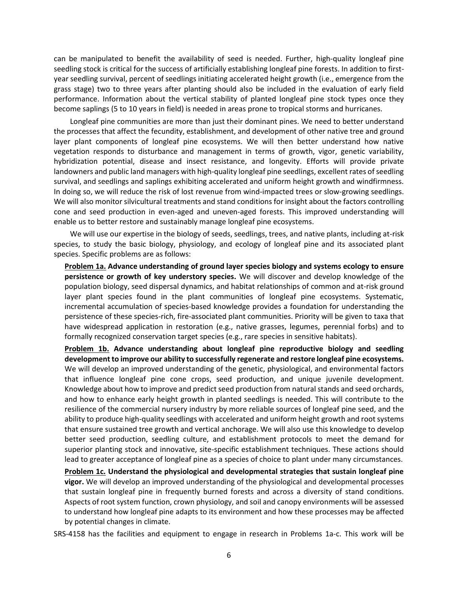can be manipulated to benefit the availability of seed is needed. Further, high-quality longleaf pine seedling stock is critical for the success of artificially establishing longleaf pine forests. In addition to firstyear seedling survival, percent of seedlings initiating accelerated height growth (i.e., emergence from the grass stage) two to three years after planting should also be included in the evaluation of early field performance. Information about the vertical stability of planted longleaf pine stock types once they become saplings (5 to 10 years in field) is needed in areas prone to tropical storms and hurricanes.

Longleaf pine communities are more than just their dominant pines. We need to better understand the processes that affect the fecundity, establishment, and development of other native tree and ground layer plant components of longleaf pine ecosystems. We will then better understand how native vegetation responds to disturbance and management in terms of growth, vigor, genetic variability, hybridization potential, disease and insect resistance, and longevity. Efforts will provide private landowners and public land managers with high-quality longleaf pine seedlings, excellent rates of seedling survival, and seedlings and saplings exhibiting accelerated and uniform height growth and windfirmness. In doing so, we will reduce the risk of lost revenue from wind-impacted trees or slow-growing seedlings. We will also monitor silvicultural treatments and stand conditions for insight about the factors controlling cone and seed production in even-aged and uneven-aged forests. This improved understanding will enable us to better restore and sustainably manage longleaf pine ecosystems.

We will use our expertise in the biology of seeds, seedlings, trees, and native plants, including at-risk species, to study the basic biology, physiology, and ecology of longleaf pine and its associated plant species. Specific problems are as follows:

**Problem 1a. Advance understanding of ground layer species biology and systems ecology to ensure persistence or growth of key understory species.** We will discover and develop knowledge of the population biology, seed dispersal dynamics, and habitat relationships of common and at-risk ground layer plant species found in the plant communities of longleaf pine ecosystems. Systematic, incremental accumulation of species-based knowledge provides a foundation for understanding the persistence of these species-rich, fire-associated plant communities. Priority will be given to taxa that have widespread application in restoration (e.g., native grasses, legumes, perennial forbs) and to formally recognized conservation target species (e.g., rare species in sensitive habitats).

**Problem 1b. Advance understanding about longleaf pine reproductive biology and seedling development to improve our ability to successfully regenerate and restore longleaf pine ecosystems.** We will develop an improved understanding of the genetic, physiological, and environmental factors that influence longleaf pine cone crops, seed production, and unique juvenile development. Knowledge about how to improve and predict seed production from natural stands and seed orchards, and how to enhance early height growth in planted seedlings is needed. This will contribute to the resilience of the commercial nursery industry by more reliable sources of longleaf pine seed, and the ability to produce high-quality seedlings with accelerated and uniform height growth and root systems that ensure sustained tree growth and vertical anchorage. We will also use this knowledge to develop better seed production, seedling culture, and establishment protocols to meet the demand for superior planting stock and innovative, site-specific establishment techniques. These actions should lead to greater acceptance of longleaf pine as a species of choice to plant under many circumstances.

**Problem 1c. Understand the physiological and developmental strategies that sustain longleaf pine vigor.** We will develop an improved understanding of the physiological and developmental processes that sustain longleaf pine in frequently burned forests and across a diversity of stand conditions. Aspects of root system function, crown physiology, and soil and canopy environments will be assessed to understand how longleaf pine adapts to its environment and how these processes may be affected by potential changes in climate.

SRS-4158 has the facilities and equipment to engage in research in Problems 1a-c. This work will be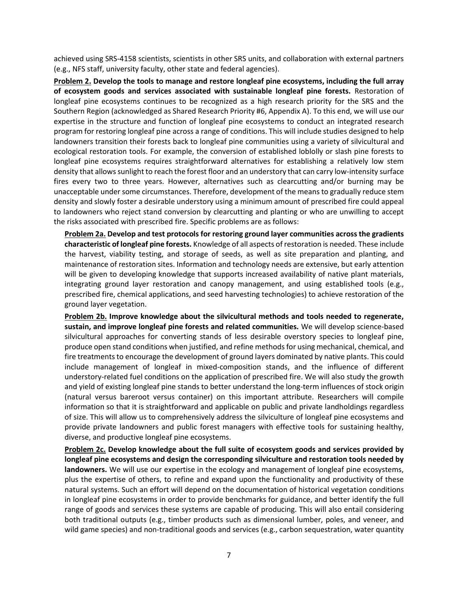achieved using SRS-4158 scientists, scientists in other SRS units, and collaboration with external partners (e.g., NFS staff, university faculty, other state and federal agencies).

**Problem 2. Develop the tools to manage and restore longleaf pine ecosystems, including the full array of ecosystem goods and services associated with sustainable longleaf pine forests.** Restoration of longleaf pine ecosystems continues to be recognized as a high research priority for the SRS and the Southern Region (acknowledged as Shared Research Priority #6, Appendix A). To this end, we will use our expertise in the structure and function of longleaf pine ecosystems to conduct an integrated research program for restoring longleaf pine across a range of conditions. This will include studies designed to help landowners transition their forests back to longleaf pine communities using a variety of silvicultural and ecological restoration tools. For example, the conversion of established loblolly or slash pine forests to longleaf pine ecosystems requires straightforward alternatives for establishing a relatively low stem density that allows sunlight to reach the forest floor and an understory that can carry low-intensity surface fires every two to three years. However, alternatives such as clearcutting and/or burning may be unacceptable under some circumstances. Therefore, development of the means to gradually reduce stem density and slowly foster a desirable understory using a minimum amount of prescribed fire could appeal to landowners who reject stand conversion by clearcutting and planting or who are unwilling to accept the risks associated with prescribed fire. Specific problems are as follows:

**Problem 2a. Develop and test protocols for restoring ground layer communities across the gradients characteristic of longleaf pine forests.** Knowledge of all aspects of restoration is needed. These include the harvest, viability testing, and storage of seeds, as well as site preparation and planting, and maintenance of restoration sites. Information and technology needs are extensive, but early attention will be given to developing knowledge that supports increased availability of native plant materials, integrating ground layer restoration and canopy management, and using established tools (e.g., prescribed fire, chemical applications, and seed harvesting technologies) to achieve restoration of the ground layer vegetation.

**Problem 2b. Improve knowledge about the silvicultural methods and tools needed to regenerate, sustain, and improve longleaf pine forests and related communities.** We will develop science-based silvicultural approaches for converting stands of less desirable overstory species to longleaf pine, produce open stand conditions when justified, and refine methods for using mechanical, chemical, and fire treatments to encourage the development of ground layers dominated by native plants. This could include management of longleaf in mixed-composition stands, and the influence of different understory-related fuel conditions on the application of prescribed fire. We will also study the growth and yield of existing longleaf pine stands to better understand the long-term influences of stock origin (natural versus bareroot versus container) on this important attribute. Researchers will compile information so that it is straightforward and applicable on public and private landholdings regardless of size. This will allow us to comprehensively address the silviculture of longleaf pine ecosystems and provide private landowners and public forest managers with effective tools for sustaining healthy, diverse, and productive longleaf pine ecosystems.

**Problem 2c. Develop knowledge about the full suite of ecosystem goods and services provided by longleaf pine ecosystems and design the corresponding silviculture and restoration tools needed by landowners.** We will use our expertise in the ecology and management of longleaf pine ecosystems, plus the expertise of others, to refine and expand upon the functionality and productivity of these natural systems. Such an effort will depend on the documentation of historical vegetation conditions in longleaf pine ecosystems in order to provide benchmarks for guidance, and better identify the full range of goods and services these systems are capable of producing. This will also entail considering both traditional outputs (e.g., timber products such as dimensional lumber, poles, and veneer, and wild game species) and non-traditional goods and services (e.g., carbon sequestration, water quantity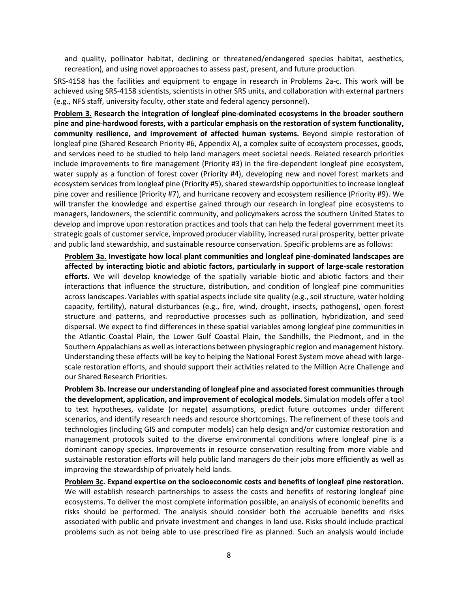and quality, pollinator habitat, declining or threatened/endangered species habitat, aesthetics, recreation), and using novel approaches to assess past, present, and future production.

SRS-4158 has the facilities and equipment to engage in research in Problems 2a-c. This work will be achieved using SRS-4158 scientists, scientists in other SRS units, and collaboration with external partners (e.g., NFS staff, university faculty, other state and federal agency personnel).

**Problem 3. Research the integration of longleaf pine-dominated ecosystems in the broader southern pine and pine-hardwood forests, with a particular emphasis on the restoration of system functionality, community resilience, and improvement of affected human systems.** Beyond simple restoration of longleaf pine (Shared Research Priority #6, Appendix A), a complex suite of ecosystem processes, goods, and services need to be studied to help land managers meet societal needs. Related research priorities include improvements to fire management (Priority #3) in the fire-dependent longleaf pine ecosystem, water supply as a function of forest cover (Priority #4), developing new and novel forest markets and ecosystem services from longleaf pine (Priority #5), shared stewardship opportunities to increase longleaf pine cover and resilience (Priority #7), and hurricane recovery and ecosystem resilience (Priority #9). We will transfer the knowledge and expertise gained through our research in longleaf pine ecosystems to managers, landowners, the scientific community, and policymakers across the southern United States to develop and improve upon restoration practices and tools that can help the federal government meet its strategic goals of customer service, improved producer viability, increased rural prosperity, better private and public land stewardship, and sustainable resource conservation. Specific problems are as follows:

**Problem 3a. Investigate how local plant communities and longleaf pine-dominated landscapes are affected by interacting biotic and abiotic factors, particularly in support of large-scale restoration efforts.** We will develop knowledge of the spatially variable biotic and abiotic factors and their interactions that influence the structure, distribution, and condition of longleaf pine communities across landscapes. Variables with spatial aspects include site quality (e.g., soil structure, water holding capacity, fertility), natural disturbances (e.g., fire, wind, drought, insects, pathogens), open forest structure and patterns, and reproductive processes such as pollination, hybridization, and seed dispersal. We expect to find differences in these spatial variables among longleaf pine communities in the Atlantic Coastal Plain, the Lower Gulf Coastal Plain, the Sandhills, the Piedmont, and in the Southern Appalachians as well as interactions between physiographic region and management history. Understanding these effects will be key to helping the National Forest System move ahead with largescale restoration efforts, and should support their activities related to the Million Acre Challenge and our Shared Research Priorities.

**Problem 3b. Increase our understanding of longleaf pine and associated forest communities through the development, application, and improvement of ecological models.** Simulation models offer a tool to test hypotheses, validate (or negate) assumptions, predict future outcomes under different scenarios, and identify research needs and resource shortcomings. The refinement of these tools and technologies (including GIS and computer models) can help design and/or customize restoration and management protocols suited to the diverse environmental conditions where longleaf pine is a dominant canopy species. Improvements in resource conservation resulting from more viable and sustainable restoration efforts will help public land managers do their jobs more efficiently as well as improving the stewardship of privately held lands.

**Problem 3c. Expand expertise on the socioeconomic costs and benefits of longleaf pine restoration.**  We will establish research partnerships to assess the costs and benefits of restoring longleaf pine ecosystems. To deliver the most complete information possible, an analysis of economic benefits and risks should be performed. The analysis should consider both the accruable benefits and risks associated with public and private investment and changes in land use. Risks should include practical problems such as not being able to use prescribed fire as planned. Such an analysis would include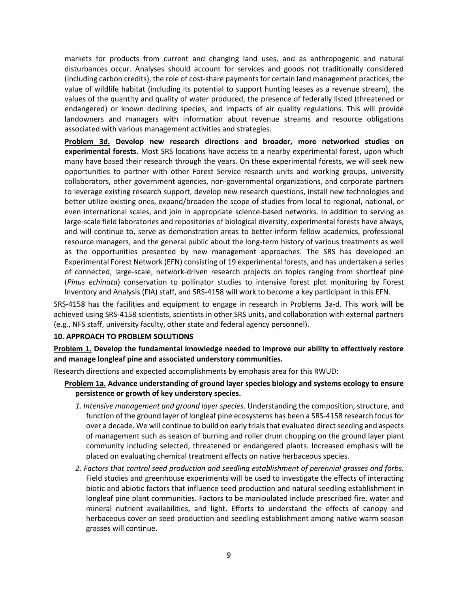markets for products from current and changing land uses, and as anthropogenic and natural disturbances occur. Analyses should account for services and goods not traditionally considered (including carbon credits), the role of cost-share payments for certain land management practices, the value of wildlife habitat (including its potential to support hunting leases as a revenue stream), the values of the quantity and quality of water produced, the presence of federally listed (threatened or endangered) or known declining species, and impacts of air quality regulations. This will provide landowners and managers with information about revenue streams and resource obligations associated with various management activities and strategies.

**Problem 3d. Develop new research directions and broader, more networked studies on experimental forests.** Most SRS locations have access to a nearby experimental forest, upon which many have based their research through the years. On these experimental forests, we will seek new opportunities to partner with other Forest Service research units and working groups, university collaborators, other government agencies, non-governmental organizations, and corporate partners to leverage existing research support, develop new research questions, install new technologies and better utilize existing ones, expand/broaden the scope of studies from local to regional, national, or even international scales, and join in appropriate science-based networks. In addition to serving as large-scale field laboratories and repositories of biological diversity, experimental forests have always, and will continue to, serve as demonstration areas to better inform fellow academics, professional resource managers, and the general public about the long-term history of various treatments as well as the opportunities presented by new management approaches. The SRS has developed an Experimental Forest Network (EFN) consisting of 19 experimental forests, and has undertaken a series of connected, large-scale, network-driven research projects on topics ranging from shortleaf pine (*Pinus echinata*) conservation to pollinator studies to intensive forest plot monitoring by Forest Inventory and Analysis (FIA) staff, and SRS-4158 will work to become a key participant in this EFN.

SRS-4158 has the facilities and equipment to engage in research in Problems 3a-d. This work will be achieved using SRS-4158 scientists, scientists in other SRS units, and collaboration with external partners (e.g., NFS staff, university faculty, other state and federal agency personnel).

### **10. APPROACH TO PROBLEM SOLUTIONS**

**Problem 1. Develop the fundamental knowledge needed to improve our ability to effectively restore and manage longleaf pine and associated understory communities.**

Research directions and expected accomplishments by emphasis area for this RWUD:

### **Problem 1a. Advance understanding of ground layer species biology and systems ecology to ensure persistence or growth of key understory species.**

- *1. Intensive management and ground layer species.* Understanding the composition, structure, and function of the ground layer of longleaf pine ecosystems has been a SRS-4158 research focus for over a decade. We will continue to build on early trials that evaluated direct seeding and aspects of management such as season of burning and roller drum chopping on the ground layer plant community including selected, threatened or endangered plants. Increased emphasis will be placed on evaluating chemical treatment effects on native herbaceous species.
- *2. Factors that control seed production and seedling establishment of perennial grasses and forbs.* Field studies and greenhouse experiments will be used to investigate the effects of interacting biotic and abiotic factors that influence seed production and natural seedling establishment in longleaf pine plant communities. Factors to be manipulated include prescribed fire, water and mineral nutrient availabilities, and light. Efforts to understand the effects of canopy and herbaceous cover on seed production and seedling establishment among native warm season grasses will continue.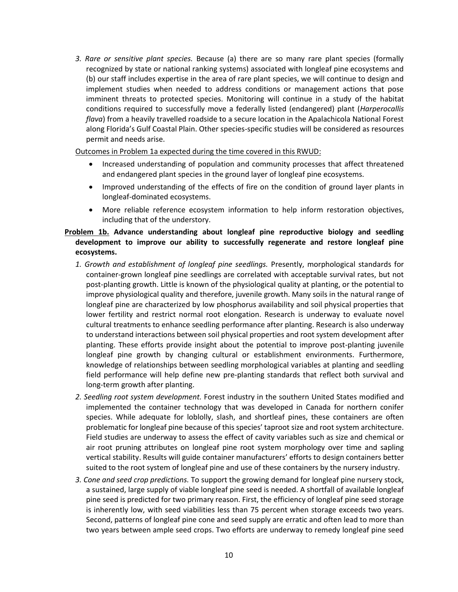*3. Rare or sensitive plant species.* Because (a) there are so many rare plant species (formally recognized by state or national ranking systems) associated with longleaf pine ecosystems and (b) our staff includes expertise in the area of rare plant species, we will continue to design and implement studies when needed to address conditions or management actions that pose imminent threats to protected species. Monitoring will continue in a study of the habitat conditions required to successfully move a federally listed (endangered) plant (*Harperocallis flava*) from a heavily travelled roadside to a secure location in the Apalachicola National Forest along Florida's Gulf Coastal Plain. Other species-specific studies will be considered as resources permit and needs arise.

Outcomes in Problem 1a expected during the time covered in this RWUD:

- Increased understanding of population and community processes that affect threatened and endangered plant species in the ground layer of longleaf pine ecosystems.
- Improved understanding of the effects of fire on the condition of ground layer plants in longleaf-dominated ecosystems.
- More reliable reference ecosystem information to help inform restoration objectives, including that of the understory.

## **Problem 1b. Advance understanding about longleaf pine reproductive biology and seedling development to improve our ability to successfully regenerate and restore longleaf pine ecosystems.**

- *1. Growth and establishment of longleaf pine seedlings.* Presently, morphological standards for container-grown longleaf pine seedlings are correlated with acceptable survival rates, but not post-planting growth. Little is known of the physiological quality at planting, or the potential to improve physiological quality and therefore, juvenile growth. Many soils in the natural range of longleaf pine are characterized by low phosphorus availability and soil physical properties that lower fertility and restrict normal root elongation. Research is underway to evaluate novel cultural treatments to enhance seedling performance after planting. Research is also underway to understand interactions between soil physical properties and root system development after planting. These efforts provide insight about the potential to improve post-planting juvenile longleaf pine growth by changing cultural or establishment environments. Furthermore, knowledge of relationships between seedling morphological variables at planting and seedling field performance will help define new pre-planting standards that reflect both survival and long-term growth after planting.
- *2. Seedling root system development.* Forest industry in the southern United States modified and implemented the container technology that was developed in Canada for northern conifer species. While adequate for loblolly, slash, and shortleaf pines, these containers are often problematic for longleaf pine because of this species' taproot size and root system architecture. Field studies are underway to assess the effect of cavity variables such as size and chemical or air root pruning attributes on longleaf pine root system morphology over time and sapling vertical stability. Results will guide container manufacturers' efforts to design containers better suited to the root system of longleaf pine and use of these containers by the nursery industry.
- *3. Cone and seed crop predictions.* To support the growing demand for longleaf pine nursery stock, a sustained, large supply of viable longleaf pine seed is needed. A shortfall of available longleaf pine seed is predicted for two primary reason. First, the efficiency of longleaf pine seed storage is inherently low, with seed viabilities less than 75 percent when storage exceeds two years. Second, patterns of longleaf pine cone and seed supply are erratic and often lead to more than two years between ample seed crops. Two efforts are underway to remedy longleaf pine seed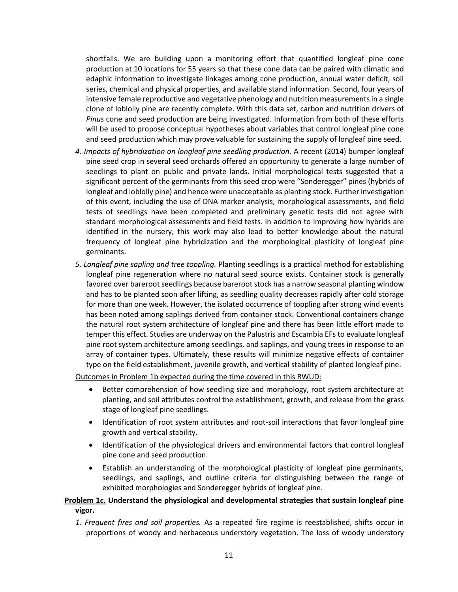shortfalls. We are building upon a monitoring effort that quantified longleaf pine cone production at 10 locations for 55 years so that these cone data can be paired with climatic and edaphic information to investigate linkages among cone production, annual water deficit, soil series, chemical and physical properties, and available stand information. Second, four years of intensive female reproductive and vegetative phenology and nutrition measurements in a single clone of loblolly pine are recently complete. With this data set, carbon and nutrition drivers of *Pinus* cone and seed production are being investigated. Information from both of these efforts will be used to propose conceptual hypotheses about variables that control longleaf pine cone and seed production which may prove valuable for sustaining the supply of longleaf pine seed.

- *4. Impacts of hybridization on longleaf pine seedling production.* A recent (2014) bumper longleaf pine seed crop in several seed orchards offered an opportunity to generate a large number of seedlings to plant on public and private lands. Initial morphological tests suggested that a significant percent of the germinants from this seed crop were "Sonderegger" pines (hybrids of longleaf and loblolly pine) and hence were unacceptable as planting stock. Further investigation of this event, including the use of DNA marker analysis, morphological assessments, and field tests of seedlings have been completed and preliminary genetic tests did not agree with standard morphological assessments and field tests. In addition to improving how hybrids are identified in the nursery, this work may also lead to better knowledge about the natural frequency of longleaf pine hybridization and the morphological plasticity of longleaf pine germinants.
- *5. Longleaf pine sapling and tree toppling.* Planting seedlings is a practical method for establishing longleaf pine regeneration where no natural seed source exists. Container stock is generally favored over bareroot seedlings because bareroot stock has a narrow seasonal planting window and has to be planted soon after lifting, as seedling quality decreases rapidly after cold storage for more than one week. However, the isolated occurrence of toppling after strong wind events has been noted among saplings derived from container stock. Conventional containers change the natural root system architecture of longleaf pine and there has been little effort made to temper this effect. Studies are underway on the Palustris and Escambia EFs to evaluate longleaf pine root system architecture among seedlings, and saplings, and young trees in response to an array of container types. Ultimately, these results will minimize negative effects of container type on the field establishment, juvenile growth, and vertical stability of planted longleaf pine.

Outcomes in Problem 1b expected during the time covered in this RWUD:

- Better comprehension of how seedling size and morphology, root system architecture at planting, and soil attributes control the establishment, growth, and release from the grass stage of longleaf pine seedlings.
- Identification of root system attributes and root-soil interactions that favor longleaf pine growth and vertical stability.
- Identification of the physiological drivers and environmental factors that control longleaf pine cone and seed production.
- Establish an understanding of the morphological plasticity of longleaf pine germinants, seedlings, and saplings, and outline criteria for distinguishing between the range of exhibited morphologies and Sonderegger hybrids of longleaf pine.

# **Problem 1c. Understand the physiological and developmental strategies that sustain longleaf pine vigor.**

*1. Frequent fires and soil properties.* As a repeated fire regime is reestablished, shifts occur in proportions of woody and herbaceous understory vegetation. The loss of woody understory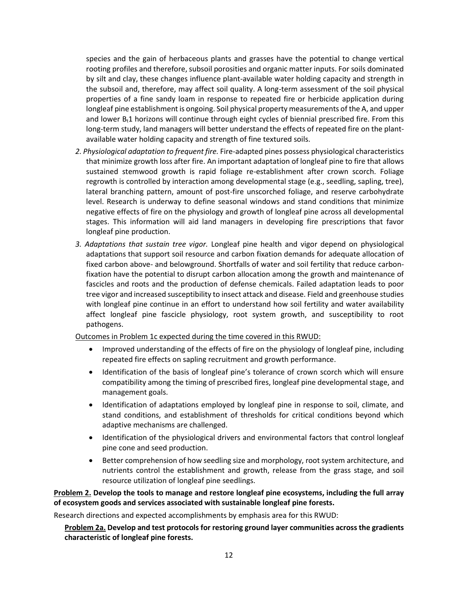species and the gain of herbaceous plants and grasses have the potential to change vertical rooting profiles and therefore, subsoil porosities and organic matter inputs. For soils dominated by silt and clay, these changes influence plant-available water holding capacity and strength in the subsoil and, therefore, may affect soil quality. A long-term assessment of the soil physical properties of a fine sandy loam in response to repeated fire or herbicide application during longleaf pine establishment is ongoing. Soil physical property measurements of the A, and upper and lower  $B_t1$  horizons will continue through eight cycles of biennial prescribed fire. From this long-term study, land managers will better understand the effects of repeated fire on the plantavailable water holding capacity and strength of fine textured soils.

- *2. Physiological adaptation to frequent fire.* Fire-adapted pines possess physiological characteristics that minimize growth loss after fire. An important adaptation of longleaf pine to fire that allows sustained stemwood growth is rapid foliage re-establishment after crown scorch. Foliage regrowth is controlled by interaction among developmental stage (e.g., seedling, sapling, tree), lateral branching pattern, amount of post-fire unscorched foliage, and reserve carbohydrate level. Research is underway to define seasonal windows and stand conditions that minimize negative effects of fire on the physiology and growth of longleaf pine across all developmental stages. This information will aid land managers in developing fire prescriptions that favor longleaf pine production.
- *3. Adaptations that sustain tree vigor.* Longleaf pine health and vigor depend on physiological adaptations that support soil resource and carbon fixation demands for adequate allocation of fixed carbon above- and belowground. Shortfalls of water and soil fertility that reduce carbonfixation have the potential to disrupt carbon allocation among the growth and maintenance of fascicles and roots and the production of defense chemicals. Failed adaptation leads to poor tree vigor and increased susceptibility to insect attack and disease. Field and greenhouse studies with longleaf pine continue in an effort to understand how soil fertility and water availability affect longleaf pine fascicle physiology, root system growth, and susceptibility to root pathogens.

Outcomes in Problem 1c expected during the time covered in this RWUD:

- Improved understanding of the effects of fire on the physiology of longleaf pine, including repeated fire effects on sapling recruitment and growth performance.
- Identification of the basis of longleaf pine's tolerance of crown scorch which will ensure compatibility among the timing of prescribed fires, longleaf pine developmental stage, and management goals.
- Identification of adaptations employed by longleaf pine in response to soil, climate, and stand conditions, and establishment of thresholds for critical conditions beyond which adaptive mechanisms are challenged.
- Identification of the physiological drivers and environmental factors that control longleaf pine cone and seed production.
- Better comprehension of how seedling size and morphology, root system architecture, and nutrients control the establishment and growth, release from the grass stage, and soil resource utilization of longleaf pine seedlings.

**Problem 2. Develop the tools to manage and restore longleaf pine ecosystems, including the full array of ecosystem goods and services associated with sustainable longleaf pine forests.**

Research directions and expected accomplishments by emphasis area for this RWUD:

**Problem 2a. Develop and test protocols for restoring ground layer communities across the gradients characteristic of longleaf pine forests.**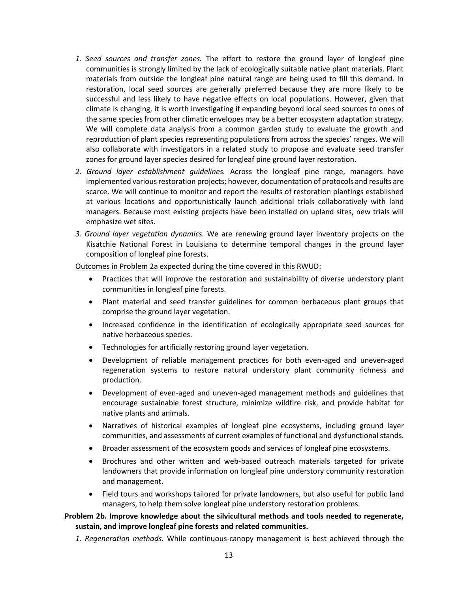- *1. Seed sources and transfer zones.* The effort to restore the ground layer of longleaf pine communities is strongly limited by the lack of ecologically suitable native plant materials. Plant materials from outside the longleaf pine natural range are being used to fill this demand. In restoration, local seed sources are generally preferred because they are more likely to be successful and less likely to have negative effects on local populations. However, given that climate is changing, it is worth investigating if expanding beyond local seed sources to ones of the same species from other climatic envelopes may be a better ecosystem adaptation strategy. We will complete data analysis from a common garden study to evaluate the growth and reproduction of plant species representing populations from across the species' ranges. We will also collaborate with investigators in a related study to propose and evaluate seed transfer zones for ground layer species desired for longleaf pine ground layer restoration.
- *2. Ground layer establishment guidelines.* Across the longleaf pine range, managers have implemented various restoration projects; however, documentation of protocols and results are scarce. We will continue to monitor and report the results of restoration plantings established at various locations and opportunistically launch additional trials collaboratively with land managers. Because most existing projects have been installed on upland sites, new trials will emphasize wet sites.
- *3. Ground layer vegetation dynamics.* We are renewing ground layer inventory projects on the Kisatchie National Forest in Louisiana to determine temporal changes in the ground layer composition of longleaf pine forests.

Outcomes in Problem 2a expected during the time covered in this RWUD:

- Practices that will improve the restoration and sustainability of diverse understory plant communities in longleaf pine forests.
- Plant material and seed transfer guidelines for common herbaceous plant groups that comprise the ground layer vegetation.
- Increased confidence in the identification of ecologically appropriate seed sources for native herbaceous species.
- Technologies for artificially restoring ground layer vegetation.
- Development of reliable management practices for both even-aged and uneven-aged regeneration systems to restore natural understory plant community richness and production.
- Development of even-aged and uneven-aged management methods and guidelines that encourage sustainable forest structure, minimize wildfire risk, and provide habitat for native plants and animals.
- Narratives of historical examples of longleaf pine ecosystems, including ground layer communities, and assessments of current examples of functional and dysfunctional stands.
- Broader assessment of the ecosystem goods and services of longleaf pine ecosystems.
- Brochures and other written and web-based outreach materials targeted for private landowners that provide information on longleaf pine understory community restoration and management.
- Field tours and workshops tailored for private landowners, but also useful for public land managers, to help them solve longleaf pine understory restoration problems.

### **Problem 2b. Improve knowledge about the silvicultural methods and tools needed to regenerate, sustain, and improve longleaf pine forests and related communities.**

*1. Regeneration methods.* While continuous-canopy management is best achieved through the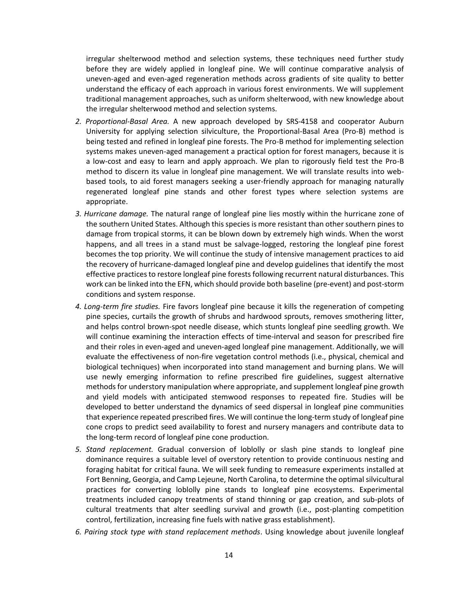irregular shelterwood method and selection systems, these techniques need further study before they are widely applied in longleaf pine. We will continue comparative analysis of uneven-aged and even-aged regeneration methods across gradients of site quality to better understand the efficacy of each approach in various forest environments. We will supplement traditional management approaches, such as uniform shelterwood, with new knowledge about the irregular shelterwood method and selection systems.

- *2. Proportional-Basal Area.* A new approach developed by SRS-4158 and cooperator Auburn University for applying selection silviculture, the Proportional-Basal Area (Pro-B) method is being tested and refined in longleaf pine forests. The Pro-B method for implementing selection systems makes uneven-aged management a practical option for forest managers, because it is a low-cost and easy to learn and apply approach. We plan to rigorously field test the Pro-B method to discern its value in longleaf pine management. We will translate results into webbased tools, to aid forest managers seeking a user-friendly approach for managing naturally regenerated longleaf pine stands and other forest types where selection systems are appropriate.
- *3. Hurricane damage.* The natural range of longleaf pine lies mostly within the hurricane zone of the southern United States. Although this species is more resistant than other southern pines to damage from tropical storms, it can be blown down by extremely high winds. When the worst happens, and all trees in a stand must be salvage-logged, restoring the longleaf pine forest becomes the top priority. We will continue the study of intensive management practices to aid the recovery of hurricane-damaged longleaf pine and develop guidelines that identify the most effective practices to restore longleaf pine forests following recurrent natural disturbances. This work can be linked into the EFN, which should provide both baseline (pre-event) and post-storm conditions and system response.
- *4. Long-term fire studies.* Fire favors longleaf pine because it kills the regeneration of competing pine species, curtails the growth of shrubs and hardwood sprouts, removes smothering litter, and helps control brown-spot needle disease, which stunts longleaf pine seedling growth. We will continue examining the interaction effects of time-interval and season for prescribed fire and their roles in even-aged and uneven-aged longleaf pine management. Additionally, we will evaluate the effectiveness of non-fire vegetation control methods (i.e., physical, chemical and biological techniques) when incorporated into stand management and burning plans. We will use newly emerging information to refine prescribed fire guidelines, suggest alternative methods for understory manipulation where appropriate, and supplement longleaf pine growth and yield models with anticipated stemwood responses to repeated fire. Studies will be developed to better understand the dynamics of seed dispersal in longleaf pine communities that experience repeated prescribed fires. We will continue the long-term study of longleaf pine cone crops to predict seed availability to forest and nursery managers and contribute data to the long-term record of longleaf pine cone production.
- *5. Stand replacement.* Gradual conversion of loblolly or slash pine stands to longleaf pine dominance requires a suitable level of overstory retention to provide continuous nesting and foraging habitat for critical fauna. We will seek funding to remeasure experiments installed at Fort Benning, Georgia, and Camp Lejeune, North Carolina, to determine the optimal silvicultural practices for converting loblolly pine stands to longleaf pine ecosystems. Experimental treatments included canopy treatments of stand thinning or gap creation, and sub-plots of cultural treatments that alter seedling survival and growth (i.e., post-planting competition control, fertilization, increasing fine fuels with native grass establishment).
- *6. Pairing stock type with stand replacement methods*. Using knowledge about juvenile longleaf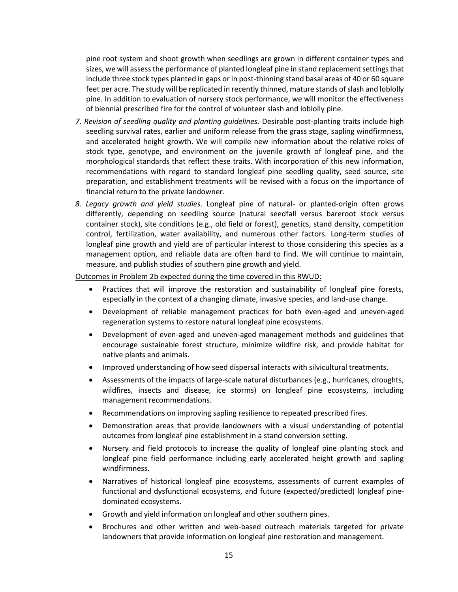pine root system and shoot growth when seedlings are grown in different container types and sizes, we will assess the performance of planted longleaf pine in stand replacement settings that include three stock types planted in gaps or in post-thinning stand basal areas of 40 or 60 square feet per acre. The study will be replicated in recently thinned, mature stands of slash and loblolly pine. In addition to evaluation of nursery stock performance, we will monitor the effectiveness of biennial prescribed fire for the control of volunteer slash and loblolly pine.

- *7. Revision of seedling quality and planting guidelines.* Desirable post-planting traits include high seedling survival rates, earlier and uniform release from the grass stage, sapling windfirmness, and accelerated height growth. We will compile new information about the relative roles of stock type, genotype, and environment on the juvenile growth of longleaf pine, and the morphological standards that reflect these traits. With incorporation of this new information, recommendations with regard to standard longleaf pine seedling quality, seed source, site preparation, and establishment treatments will be revised with a focus on the importance of financial return to the private landowner.
- *8. Legacy growth and yield studies.* Longleaf pine of natural- or planted-origin often grows differently, depending on seedling source (natural seedfall versus bareroot stock versus container stock), site conditions (e.g., old field or forest), genetics, stand density, competition control, fertilization, water availability, and numerous other factors. Long-term studies of longleaf pine growth and yield are of particular interest to those considering this species as a management option, and reliable data are often hard to find. We will continue to maintain, measure, and publish studies of southern pine growth and yield.

Outcomes in Problem 2b expected during the time covered in this RWUD:

- Practices that will improve the restoration and sustainability of longleaf pine forests, especially in the context of a changing climate, invasive species, and land-use change.
- Development of reliable management practices for both even-aged and uneven-aged regeneration systems to restore natural longleaf pine ecosystems.
- Development of even-aged and uneven-aged management methods and guidelines that encourage sustainable forest structure, minimize wildfire risk, and provide habitat for native plants and animals.
- Improved understanding of how seed dispersal interacts with silvicultural treatments.
- Assessments of the impacts of large-scale natural disturbances (e.g., hurricanes, droughts, wildfires, insects and disease, ice storms) on longleaf pine ecosystems, including management recommendations.
- Recommendations on improving sapling resilience to repeated prescribed fires.
- Demonstration areas that provide landowners with a visual understanding of potential outcomes from longleaf pine establishment in a stand conversion setting.
- Nursery and field protocols to increase the quality of longleaf pine planting stock and longleaf pine field performance including early accelerated height growth and sapling windfirmness.
- Narratives of historical longleaf pine ecosystems, assessments of current examples of functional and dysfunctional ecosystems, and future (expected/predicted) longleaf pinedominated ecosystems.
- Growth and yield information on longleaf and other southern pines.
- Brochures and other written and web-based outreach materials targeted for private landowners that provide information on longleaf pine restoration and management.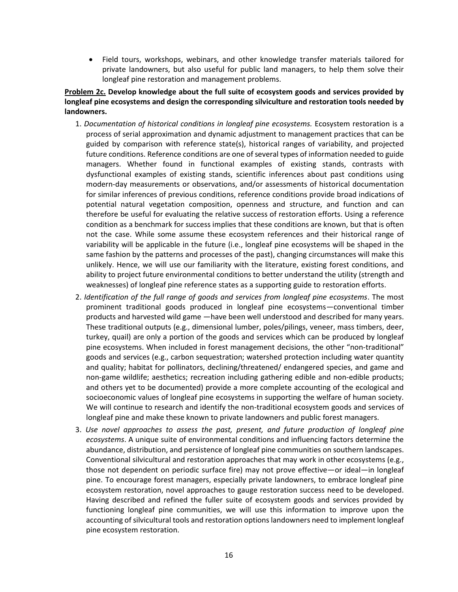Field tours, workshops, webinars, and other knowledge transfer materials tailored for private landowners, but also useful for public land managers, to help them solve their longleaf pine restoration and management problems.

# **Problem 2c. Develop knowledge about the full suite of ecosystem goods and services provided by longleaf pine ecosystems and design the corresponding silviculture and restoration tools needed by landowners.**

- 1. *Documentation of historical conditions in longleaf pine ecosystems.* Ecosystem restoration is a process of serial approximation and dynamic adjustment to management practices that can be guided by comparison with reference state(s), historical ranges of variability, and projected future conditions. Reference conditions are one of several types of information needed to guide managers. Whether found in functional examples of existing stands, contrasts with dysfunctional examples of existing stands, scientific inferences about past conditions using modern-day measurements or observations, and/or assessments of historical documentation for similar inferences of previous conditions, reference conditions provide broad indications of potential natural vegetation composition, openness and structure, and function and can therefore be useful for evaluating the relative success of restoration efforts. Using a reference condition as a benchmark for success implies that these conditions are known, but that is often not the case. While some assume these ecosystem references and their historical range of variability will be applicable in the future (i.e., longleaf pine ecosystems will be shaped in the same fashion by the patterns and processes of the past), changing circumstances will make this unlikely. Hence, we will use our familiarity with the literature, existing forest conditions, and ability to project future environmental conditions to better understand the utility (strength and weaknesses) of longleaf pine reference states as a supporting guide to restoration efforts.
- 2. *Identification of the full range of goods and services from longleaf pine ecosystems*. The most prominent traditional goods produced in longleaf pine ecosystems—conventional timber products and harvested wild game —have been well understood and described for many years. These traditional outputs (e.g., dimensional lumber, poles/pilings, veneer, mass timbers, deer, turkey, quail) are only a portion of the goods and services which can be produced by longleaf pine ecosystems. When included in forest management decisions, the other "non-traditional" goods and services (e.g., carbon sequestration; watershed protection including water quantity and quality; habitat for pollinators, declining/threatened/ endangered species, and game and non-game wildlife; aesthetics; recreation including gathering edible and non-edible products; and others yet to be documented) provide a more complete accounting of the ecological and socioeconomic values of longleaf pine ecosystems in supporting the welfare of human society. We will continue to research and identify the non-traditional ecosystem goods and services of longleaf pine and make these known to private landowners and public forest managers.
- 3. *Use novel approaches to assess the past, present, and future production of longleaf pine ecosystems*. A unique suite of environmental conditions and influencing factors determine the abundance, distribution, and persistence of longleaf pine communities on southern landscapes. Conventional silvicultural and restoration approaches that may work in other ecosystems (e.g., those not dependent on periodic surface fire) may not prove effective—or ideal—in longleaf pine. To encourage forest managers, especially private landowners, to embrace longleaf pine ecosystem restoration, novel approaches to gauge restoration success need to be developed. Having described and refined the fuller suite of ecosystem goods and services provided by functioning longleaf pine communities, we will use this information to improve upon the accounting of silvicultural tools and restoration options landowners need to implement longleaf pine ecosystem restoration.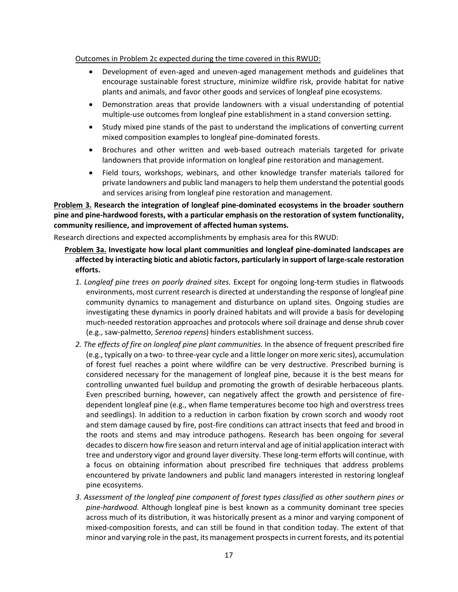### Outcomes in Problem 2c expected during the time covered in this RWUD:

- Development of even-aged and uneven-aged management methods and guidelines that encourage sustainable forest structure, minimize wildfire risk, provide habitat for native plants and animals, and favor other goods and services of longleaf pine ecosystems.
- Demonstration areas that provide landowners with a visual understanding of potential multiple-use outcomes from longleaf pine establishment in a stand conversion setting.
- Study mixed pine stands of the past to understand the implications of converting current mixed composition examples to longleaf pine-dominated forests.
- Brochures and other written and web-based outreach materials targeted for private landowners that provide information on longleaf pine restoration and management.
- Field tours, workshops, webinars, and other knowledge transfer materials tailored for private landowners and public land managers to help them understand the potential goods and services arising from longleaf pine restoration and management.

**Problem 3. Research the integration of longleaf pine-dominated ecosystems in the broader southern pine and pine-hardwood forests, with a particular emphasis on the restoration of system functionality, community resilience, and improvement of affected human systems.**

Research directions and expected accomplishments by emphasis area for this RWUD:

# **Problem 3a. Investigate how local plant communities and longleaf pine-dominated landscapes are affected by interacting biotic and abiotic factors, particularly in support of large-scale restoration efforts.**

- *1. Longleaf pine trees on poorly drained sites.* Except for ongoing long-term studies in flatwoods environments, most current research is directed at understanding the response of longleaf pine community dynamics to management and disturbance on upland sites. Ongoing studies are investigating these dynamics in poorly drained habitats and will provide a basis for developing much-needed restoration approaches and protocols where soil drainage and dense shrub cover (e.g., saw-palmetto, *Serenoa repens*) hinders establishment success.
- *2. The effects of fire on longleaf pine plant communities.* In the absence of frequent prescribed fire (e.g., typically on a two- to three-year cycle and a little longer on more xeric sites), accumulation of forest fuel reaches a point where wildfire can be very destructive. Prescribed burning is considered necessary for the management of longleaf pine, because it is the best means for controlling unwanted fuel buildup and promoting the growth of desirable herbaceous plants. Even prescribed burning, however, can negatively affect the growth and persistence of firedependent longleaf pine (e.g., when flame temperatures become too high and overstress trees and seedlings). In addition to a reduction in carbon fixation by crown scorch and woody root and stem damage caused by fire, post-fire conditions can attract insects that feed and brood in the roots and stems and may introduce pathogens. Research has been ongoing for several decades to discern how fire season and return interval and age of initial application interact with tree and understory vigor and ground layer diversity. These long-term efforts will continue, with a focus on obtaining information about prescribed fire techniques that address problems encountered by private landowners and public land managers interested in restoring longleaf pine ecosystems.
- *3. Assessment of the longleaf pine component of forest types classified as other southern pines or pine-hardwood.* Although longleaf pine is best known as a community dominant tree species across much of its distribution, it was historically present as a minor and varying component of mixed-composition forests, and can still be found in that condition today. The extent of that minor and varying role in the past, its management prospects in current forests, and its potential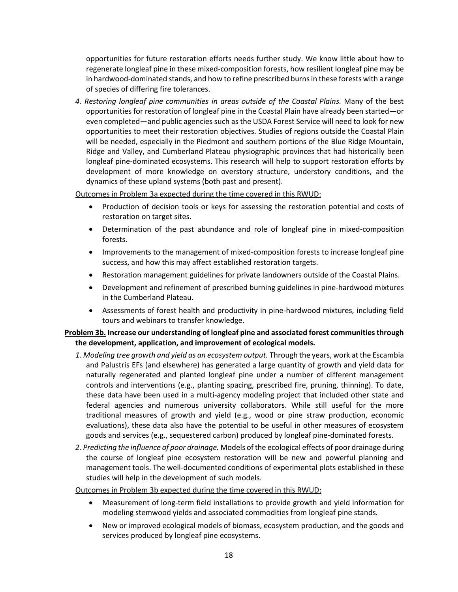opportunities for future restoration efforts needs further study. We know little about how to regenerate longleaf pine in these mixed-composition forests, how resilient longleaf pine may be in hardwood-dominated stands, and how to refine prescribed burns in these forests with a range of species of differing fire tolerances.

*4. Restoring longleaf pine communities in areas outside of the Coastal Plains.* Many of the best opportunities for restoration of longleaf pine in the Coastal Plain have already been started—or even completed—and public agencies such as the USDA Forest Service will need to look for new opportunities to meet their restoration objectives. Studies of regions outside the Coastal Plain will be needed, especially in the Piedmont and southern portions of the Blue Ridge Mountain, Ridge and Valley, and Cumberland Plateau physiographic provinces that had historically been longleaf pine-dominated ecosystems. This research will help to support restoration efforts by development of more knowledge on overstory structure, understory conditions, and the dynamics of these upland systems (both past and present).

Outcomes in Problem 3a expected during the time covered in this RWUD:

- Production of decision tools or keys for assessing the restoration potential and costs of restoration on target sites.
- Determination of the past abundance and role of longleaf pine in mixed-composition forests.
- Improvements to the management of mixed-composition forests to increase longleaf pine success, and how this may affect established restoration targets.
- Restoration management guidelines for private landowners outside of the Coastal Plains.
- Development and refinement of prescribed burning guidelines in pine-hardwood mixtures in the Cumberland Plateau.
- Assessments of forest health and productivity in pine-hardwood mixtures, including field tours and webinars to transfer knowledge.

## **Problem 3b. Increase our understanding of longleaf pine and associated forest communities through the development, application, and improvement of ecological models.**

- *1. Modeling tree growth and yield as an ecosystem output.* Through the years, work at the Escambia and Palustris EFs (and elsewhere) has generated a large quantity of growth and yield data for naturally regenerated and planted longleaf pine under a number of different management controls and interventions (e.g., planting spacing, prescribed fire, pruning, thinning). To date, these data have been used in a multi-agency modeling project that included other state and federal agencies and numerous university collaborators. While still useful for the more traditional measures of growth and yield (e.g., wood or pine straw production, economic evaluations), these data also have the potential to be useful in other measures of ecosystem goods and services (e.g., sequestered carbon) produced by longleaf pine-dominated forests.
- *2. Predicting the influence of poor drainage.* Models of the ecological effects of poor drainage during the course of longleaf pine ecosystem restoration will be new and powerful planning and management tools. The well-documented conditions of experimental plots established in these studies will help in the development of such models.

### Outcomes in Problem 3b expected during the time covered in this RWUD:

- Measurement of long-term field installations to provide growth and yield information for modeling stemwood yields and associated commodities from longleaf pine stands.
- New or improved ecological models of biomass, ecosystem production, and the goods and services produced by longleaf pine ecosystems.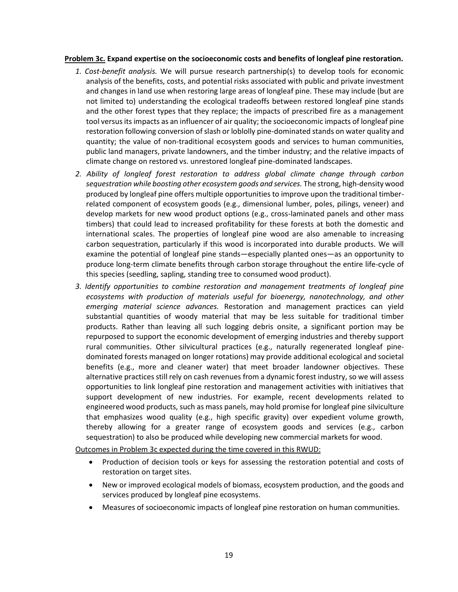### **Problem 3c. Expand expertise on the socioeconomic costs and benefits of longleaf pine restoration.**

- *1. Cost-benefit analysis.* We will pursue research partnership(s) to develop tools for economic analysis of the benefits, costs, and potential risks associated with public and private investment and changes in land use when restoring large areas of longleaf pine. These may include (but are not limited to) understanding the ecological tradeoffs between restored longleaf pine stands and the other forest types that they replace; the impacts of prescribed fire as a management tool versus its impacts as an influencer of air quality; the socioeconomic impacts of longleaf pine restoration following conversion of slash or loblolly pine-dominated stands on water quality and quantity; the value of non-traditional ecosystem goods and services to human communities, public land managers, private landowners, and the timber industry; and the relative impacts of climate change on restored vs. unrestored longleaf pine-dominated landscapes.
- *2. Ability of longleaf forest restoration to address global climate change through carbon sequestration while boosting other ecosystem goods and services.* The strong, high-density wood produced by longleaf pine offers multiple opportunities to improve upon the traditional timberrelated component of ecosystem goods (e.g., dimensional lumber, poles, pilings, veneer) and develop markets for new wood product options (e.g., cross-laminated panels and other mass timbers) that could lead to increased profitability for these forests at both the domestic and international scales. The properties of longleaf pine wood are also amenable to increasing carbon sequestration, particularly if this wood is incorporated into durable products. We will examine the potential of longleaf pine stands—especially planted ones—as an opportunity to produce long-term climate benefits through carbon storage throughout the entire life-cycle of this species (seedling, sapling, standing tree to consumed wood product).
- *3. Identify opportunities to combine restoration and management treatments of longleaf pine ecosystems with production of materials useful for bioenergy, nanotechnology, and other emerging material science advances.* Restoration and management practices can yield substantial quantities of woody material that may be less suitable for traditional timber products. Rather than leaving all such logging debris onsite, a significant portion may be repurposed to support the economic development of emerging industries and thereby support rural communities. Other silvicultural practices (e.g., naturally regenerated longleaf pinedominated forests managed on longer rotations) may provide additional ecological and societal benefits (e.g., more and cleaner water) that meet broader landowner objectives. These alternative practices still rely on cash revenues from a dynamic forest industry, so we will assess opportunities to link longleaf pine restoration and management activities with initiatives that support development of new industries. For example, recent developments related to engineered wood products, such as mass panels, may hold promise for longleaf pine silviculture that emphasizes wood quality (e.g., high specific gravity) over expedient volume growth, thereby allowing for a greater range of ecosystem goods and services (e.g., carbon sequestration) to also be produced while developing new commercial markets for wood.

Outcomes in Problem 3c expected during the time covered in this RWUD:

- Production of decision tools or keys for assessing the restoration potential and costs of restoration on target sites.
- New or improved ecological models of biomass, ecosystem production, and the goods and services produced by longleaf pine ecosystems.
- Measures of socioeconomic impacts of longleaf pine restoration on human communities.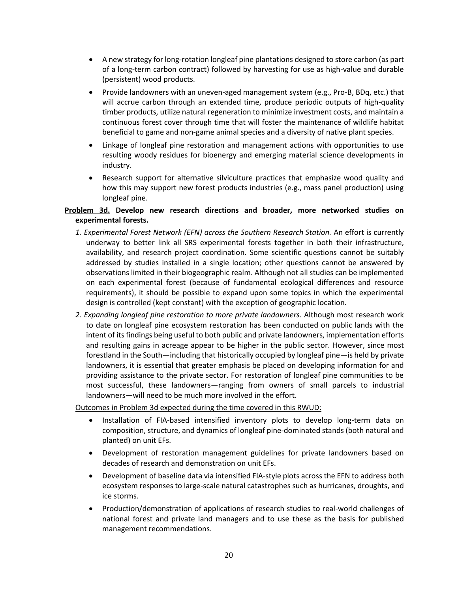- A new strategy for long-rotation longleaf pine plantations designed to store carbon (as part of a long-term carbon contract) followed by harvesting for use as high-value and durable (persistent) wood products.
- Provide landowners with an uneven-aged management system (e.g., Pro-B, BDq, etc.) that will accrue carbon through an extended time, produce periodic outputs of high-quality timber products, utilize natural regeneration to minimize investment costs, and maintain a continuous forest cover through time that will foster the maintenance of wildlife habitat beneficial to game and non-game animal species and a diversity of native plant species.
- Linkage of longleaf pine restoration and management actions with opportunities to use resulting woody residues for bioenergy and emerging material science developments in industry.
- Research support for alternative silviculture practices that emphasize wood quality and how this may support new forest products industries (e.g., mass panel production) using longleaf pine.

# **Problem 3d. Develop new research directions and broader, more networked studies on experimental forests.**

- *1. Experimental Forest Network (EFN) across the Southern Research Station.* An effort is currently underway to better link all SRS experimental forests together in both their infrastructure, availability, and research project coordination. Some scientific questions cannot be suitably addressed by studies installed in a single location; other questions cannot be answered by observations limited in their biogeographic realm. Although not all studies can be implemented on each experimental forest (because of fundamental ecological differences and resource requirements), it should be possible to expand upon some topics in which the experimental design is controlled (kept constant) with the exception of geographic location.
- *2. Expanding longleaf pine restoration to more private landowners.* Although most research work to date on longleaf pine ecosystem restoration has been conducted on public lands with the intent of its findings being useful to both public and private landowners, implementation efforts and resulting gains in acreage appear to be higher in the public sector. However, since most forestland in the South—including that historically occupied by longleaf pine—is held by private landowners, it is essential that greater emphasis be placed on developing information for and providing assistance to the private sector. For restoration of longleaf pine communities to be most successful, these landowners—ranging from owners of small parcels to industrial landowners—will need to be much more involved in the effort.

### Outcomes in Problem 3d expected during the time covered in this RWUD:

- Installation of FIA-based intensified inventory plots to develop long-term data on composition, structure, and dynamics of longleaf pine-dominated stands (both natural and planted) on unit EFs.
- Development of restoration management guidelines for private landowners based on decades of research and demonstration on unit EFs.
- Development of baseline data via intensified FIA-style plots across the EFN to address both ecosystem responses to large-scale natural catastrophes such as hurricanes, droughts, and ice storms.
- Production/demonstration of applications of research studies to real-world challenges of national forest and private land managers and to use these as the basis for published management recommendations.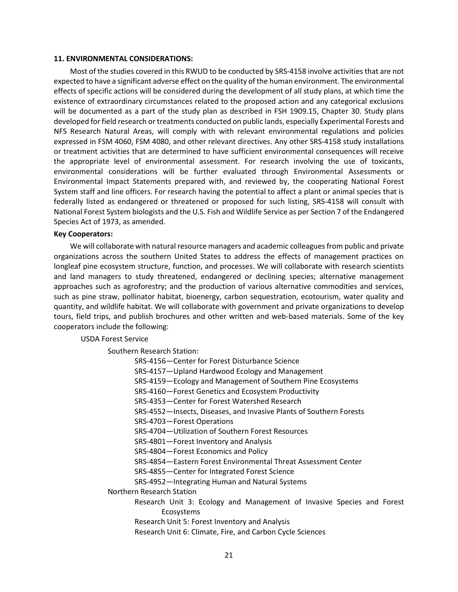#### **11. ENVIRONMENTAL CONSIDERATIONS:**

Most of the studies covered in this RWUD to be conducted by SRS-4158 involve activities that are not expected to have a significant adverse effect on the quality of the human environment. The environmental effects of specific actions will be considered during the development of all study plans, at which time the existence of extraordinary circumstances related to the proposed action and any categorical exclusions will be documented as a part of the study plan as described in FSH 1909.15, Chapter 30. Study plans developed for field research or treatments conducted on public lands, especially Experimental Forests and NFS Research Natural Areas, will comply with with relevant environmental regulations and policies expressed in FSM 4060, FSM 4080, and other relevant directives. Any other SRS-4158 study installations or treatment activities that are determined to have sufficient environmental consequences will receive the appropriate level of environmental assessment. For research involving the use of toxicants, environmental considerations will be further evaluated through Environmental Assessments or Environmental Impact Statements prepared with, and reviewed by, the cooperating National Forest System staff and line officers. For research having the potential to affect a plant or animal species that is federally listed as endangered or threatened or proposed for such listing, SRS-4158 will consult with National Forest System biologists and the U.S. Fish and Wildlife Service as per Section 7 of the Endangered Species Act of 1973, as amended.

### **Key Cooperators:**

We will collaborate with natural resource managers and academic colleagues from public and private organizations across the southern United States to address the effects of management practices on longleaf pine ecosystem structure, function, and processes. We will collaborate with research scientists and land managers to study threatened, endangered or declining species; alternative management approaches such as agroforestry; and the production of various alternative commodities and services, such as pine straw, pollinator habitat, bioenergy, carbon sequestration, ecotourism, water quality and quantity, and wildlife habitat. We will collaborate with government and private organizations to develop tours, field trips, and publish brochures and other written and web-based materials. Some of the key cooperators include the following:

#### USDA Forest Service

Southern Research Station:

| SRS-4156-Center for Forest Disturbance Science                         |
|------------------------------------------------------------------------|
| SRS-4157-Upland Hardwood Ecology and Management                        |
| SRS-4159-Ecology and Management of Southern Pine Ecosystems            |
| SRS-4160-Forest Genetics and Ecosystem Productivity                    |
| SRS-4353-Center for Forest Watershed Research                          |
| SRS-4552-Insects, Diseases, and Invasive Plants of Southern Forests    |
| SRS-4703-Forest Operations                                             |
| SRS-4704-Utilization of Southern Forest Resources                      |
| SRS-4801-Forest Inventory and Analysis                                 |
| SRS-4804-Forest Economics and Policy                                   |
| SRS-4854—Eastern Forest Environmental Threat Assessment Center         |
| SRS-4855-Center for Integrated Forest Science                          |
| SRS-4952-Integrating Human and Natural Systems                         |
| Northern Research Station                                              |
| Research Unit 3: Ecology and Management of Invasive Species and Forest |
| Ecosystems                                                             |
| Research Unit 5: Forest Inventory and Analysis                         |
| Research Unit 6: Climate, Fire, and Carbon Cycle Sciences              |
|                                                                        |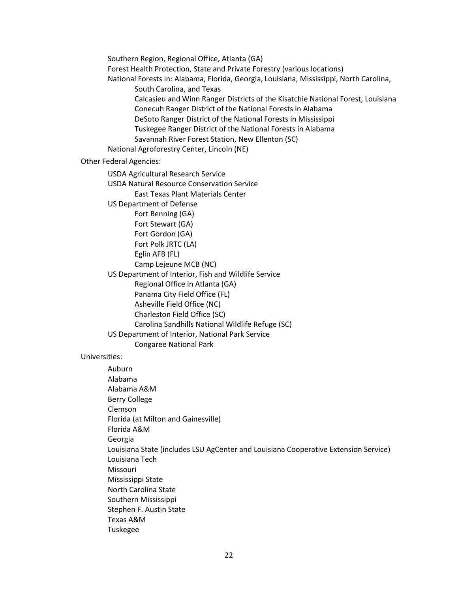Southern Region, Regional Office, Atlanta (GA) Forest Health Protection, State and Private Forestry (various locations) National Forests in: Alabama, Florida, Georgia, Louisiana, Mississippi, North Carolina, South Carolina, and Texas Calcasieu and Winn Ranger Districts of the Kisatchie National Forest, Louisiana Conecuh Ranger District of the National Forests in Alabama DeSoto Ranger District of the National Forests in Mississippi Tuskegee Ranger District of the National Forests in Alabama Savannah River Forest Station, New Ellenton (SC) National Agroforestry Center, Lincoln (NE) Other Federal Agencies: USDA Agricultural Research Service USDA Natural Resource Conservation Service East Texas Plant Materials Center US Department of Defense Fort Benning (GA) Fort Stewart (GA) Fort Gordon (GA) Fort Polk JRTC (LA) Eglin AFB (FL) Camp Lejeune MCB (NC) US Department of Interior, Fish and Wildlife Service Regional Office in Atlanta (GA) Panama City Field Office (FL) Asheville Field Office (NC) Charleston Field Office (SC) Carolina Sandhills National Wildlife Refuge (SC) US Department of Interior, National Park Service Congaree National Park Universities: Auburn Alabama Alabama A&M Berry College Clemson Florida (at Milton and Gainesville) Florida A&M Georgia Louisiana State (includes LSU AgCenter and Louisiana Cooperative Extension Service) Louisiana Tech Missouri Mississippi State North Carolina State Southern Mississippi

- Stephen F. Austin State
- Texas A&M
- Tuskegee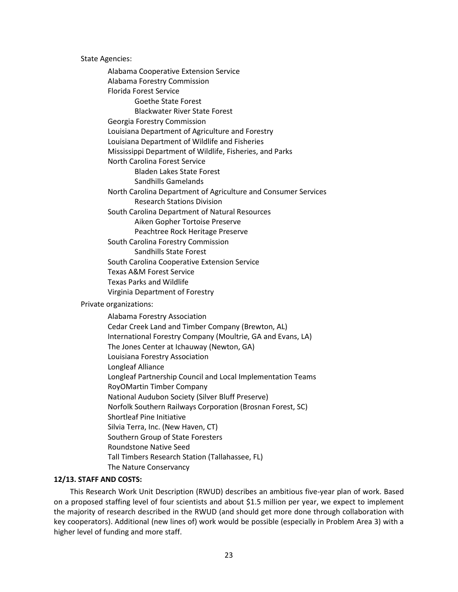State Agencies:

Alabama Cooperative Extension Service Alabama Forestry Commission Florida Forest Service Goethe State Forest Blackwater River State Forest Georgia Forestry Commission Louisiana Department of Agriculture and Forestry Louisiana Department of Wildlife and Fisheries Mississippi Department of Wildlife, Fisheries, and Parks North Carolina Forest Service Bladen Lakes State Forest Sandhills Gamelands North Carolina Department of Agriculture and Consumer Services Research Stations Division South Carolina Department of Natural Resources Aiken Gopher Tortoise Preserve Peachtree Rock Heritage Preserve South Carolina Forestry Commission Sandhills State Forest South Carolina Cooperative Extension Service Texas A&M Forest Service Texas Parks and Wildlife Virginia Department of Forestry Private organizations: Alabama Forestry Association Cedar Creek Land and Timber Company (Brewton, AL) International Forestry Company (Moultrie, GA and Evans, LA) The Jones Center at Ichauway (Newton, GA) Louisiana Forestry Association Longleaf Alliance Longleaf Partnership Council and Local Implementation Teams RoyOMartin Timber Company National Audubon Society (Silver Bluff Preserve) Norfolk Southern Railways Corporation (Brosnan Forest, SC) Shortleaf Pine Initiative Silvia Terra, Inc. (New Haven, CT) Southern Group of State Foresters Roundstone Native Seed Tall Timbers Research Station (Tallahassee, FL) The Nature Conservancy

#### **12/13. STAFF AND COSTS:**

This Research Work Unit Description (RWUD) describes an ambitious five-year plan of work. Based on a proposed staffing level of four scientists and about \$1.5 million per year, we expect to implement the majority of research described in the RWUD (and should get more done through collaboration with key cooperators). Additional (new lines of) work would be possible (especially in Problem Area 3) with a higher level of funding and more staff.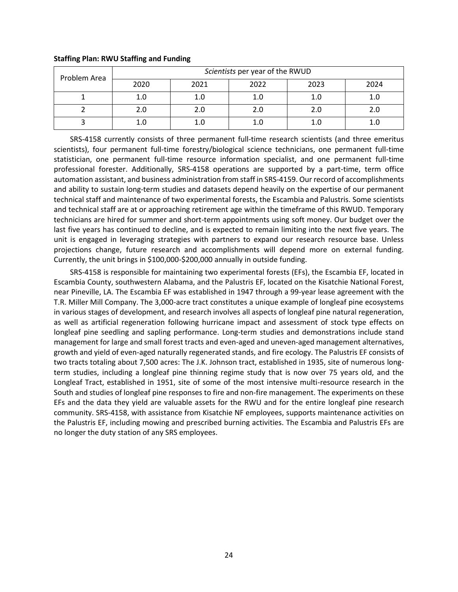| Problem Area | Scientists per year of the RWUD |      |      |      |      |  |  |
|--------------|---------------------------------|------|------|------|------|--|--|
|              | 2020                            | 2021 | 2022 | 2023 | 2024 |  |  |
|              | 1.0                             | 1.0  | 1.0  | 1.0  |      |  |  |
|              | 2.0                             |      | 2.0  | 2.0  | 2.0  |  |  |
|              | 1.0                             |      | 1.0  | 1.0  |      |  |  |

### **Staffing Plan: RWU Staffing and Funding**

SRS-4158 currently consists of three permanent full-time research scientists (and three emeritus scientists), four permanent full-time forestry/biological science technicians, one permanent full-time statistician, one permanent full-time resource information specialist, and one permanent full-time professional forester. Additionally, SRS-4158 operations are supported by a part-time, term office automation assistant, and business administration from staff in SRS-4159. Our record of accomplishments and ability to sustain long-term studies and datasets depend heavily on the expertise of our permanent technical staff and maintenance of two experimental forests, the Escambia and Palustris. Some scientists and technical staff are at or approaching retirement age within the timeframe of this RWUD. Temporary technicians are hired for summer and short-term appointments using soft money. Our budget over the last five years has continued to decline, and is expected to remain limiting into the next five years. The unit is engaged in leveraging strategies with partners to expand our research resource base. Unless projections change, future research and accomplishments will depend more on external funding. Currently, the unit brings in \$100,000-\$200,000 annually in outside funding.

SRS-4158 is responsible for maintaining two experimental forests (EFs), the Escambia EF, located in Escambia County, southwestern Alabama, and the Palustris EF, located on the Kisatchie National Forest, near Pineville, LA. The Escambia EF was established in 1947 through a 99-year lease agreement with the T.R. Miller Mill Company. The 3,000-acre tract constitutes a unique example of longleaf pine ecosystems in various stages of development, and research involves all aspects of longleaf pine natural regeneration, as well as artificial regeneration following hurricane impact and assessment of stock type effects on longleaf pine seedling and sapling performance. Long-term studies and demonstrations include stand management for large and small forest tracts and even-aged and uneven-aged management alternatives, growth and yield of even-aged naturally regenerated stands, and fire ecology. The Palustris EF consists of two tracts totaling about 7,500 acres: The J.K. Johnson tract, established in 1935, site of numerous longterm studies, including a longleaf pine thinning regime study that is now over 75 years old, and the Longleaf Tract, established in 1951, site of some of the most intensive multi-resource research in the South and studies of longleaf pine responses to fire and non-fire management. The experiments on these EFs and the data they yield are valuable assets for the RWU and for the entire longleaf pine research community. SRS-4158, with assistance from Kisatchie NF employees, supports maintenance activities on the Palustris EF, including mowing and prescribed burning activities. The Escambia and Palustris EFs are no longer the duty station of any SRS employees.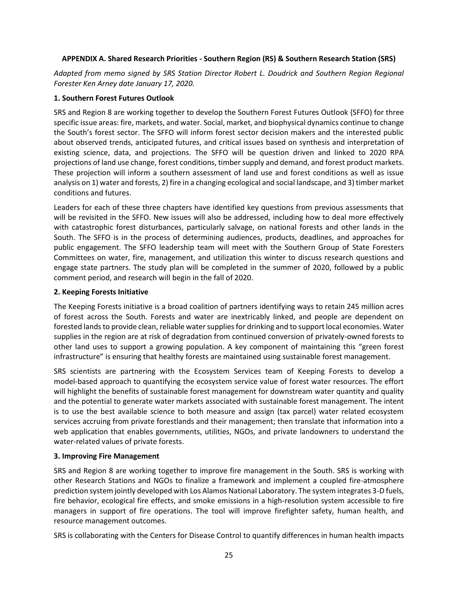## **APPENDIX A. Shared Research Priorities - Southern Region (RS) & Southern Research Station (SRS)**

*Adapted from memo signed by SRS Station Director Robert L. Doudrick and Southern Region Regional Forester Ken Arney date January 17, 2020.* 

## **1. Southern Forest Futures Outlook**

SRS and Region 8 are working together to develop the Southern Forest Futures Outlook {SFFO) for three specific issue areas: fire, markets, and water. Social, market, and biophysical dynamics continue to change the South's forest sector. The SFFO will inform forest sector decision makers and the interested public about observed trends, anticipated futures, and critical issues based on synthesis and interpretation of existing science, data, and projections. The SFFO will be question driven and linked to 2020 RPA projections of land use change, forest conditions, timber supply and demand, and forest product markets. These projection will inform a southern assessment of land use and forest conditions as well as issue analysis on 1) water and forests, 2) fire in a changing ecological and social landscape, and 3) timber market conditions and futures.

Leaders for each of these three chapters have identified key questions from previous assessments that will be revisited in the SFFO. New issues will also be addressed, including how to deal more effectively with catastrophic forest disturbances, particularly salvage, on national forests and other lands in the South. The SFFO is in the process of determining audiences, products, deadlines, and approaches for public engagement. The SFFO leadership team will meet with the Southern Group of State Foresters Committees on water, fire, management, and utilization this winter to discuss research questions and engage state partners. The study plan will be completed in the summer of 2020, followed by a public comment period, and research will begin in the fall of 2020.

## **2. Keeping Forests Initiative**

The Keeping Forests initiative is a broad coalition of partners identifying ways to retain 245 million acres of forest across the South. Forests and water are inextricably linked, and people are dependent on forested lands to provide clean, reliable water supplies for drinking and to support local economies. Water supplies in the region are at risk of degradation from continued conversion of privately-owned forests to other land uses to support a growing population. A key component of maintaining this "green forest infrastructure" is ensuring that healthy forests are maintained using sustainable forest management.

SRS scientists are partnering with the Ecosystem Services team of Keeping Forests to develop a model-based approach to quantifying the ecosystem service value of forest water resources. The effort will highlight the benefits of sustainable forest management for downstream water quantity and quality and the potential to generate water markets associated with sustainable forest management. The intent is to use the best available science to both measure and assign (tax parcel) water related ecosystem services accruing from private forestlands and their management; then translate that information into a web application that enables governments, utilities, NGOs, and private landowners to understand the water-related values of private forests.

### **3. Improving Fire Management**

SRS and Region 8 are working together to improve fire management in the South. SRS is working with other Research Stations and NGOs to finalize a framework and implement a coupled fire-atmosphere prediction system jointly developed with Los Alamos National Laboratory. The system integrates 3-D fuels, fire behavior, ecological fire effects, and smoke emissions in a high-resolution system accessible to fire managers in support of fire operations. The tool will improve firefighter safety, human health, and resource management outcomes.

SRS is collaborating with the Centers for Disease Control to quantify differences in human health impacts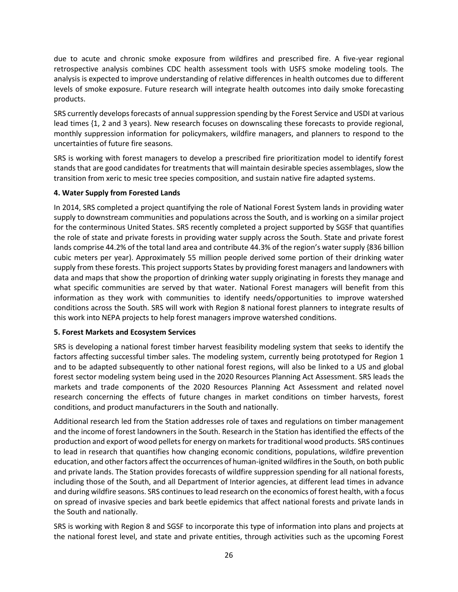due to acute and chronic smoke exposure from wildfires and prescribed fire. A five-year regional retrospective analysis combines CDC health assessment tools with USFS smoke modeling tools. The analysis is expected to improve understanding of relative differences in health outcomes due to different levels of smoke exposure. Future research will integrate health outcomes into daily smoke forecasting products.

SRS currently develops forecasts of annual suppression spending by the Forest Service and USDI at various lead times {1, 2 and 3 years). New research focuses on downscaling these forecasts to provide regional, monthly suppression information for policymakers, wildfire managers, and planners to respond to the uncertainties of future fire seasons.

SRS is working with forest managers to develop a prescribed fire prioritization model to identify forest stands that are good candidates for treatments that will maintain desirable species assemblages, slow the transition from xeric to mesic tree species composition, and sustain native fire adapted systems.

# **4. Water Supply from Forested Lands**

In 2014, SRS completed a project quantifying the role of National Forest System lands in providing water supply to downstream communities and populations across the South, and is working on a similar project for the conterminous United States. SRS recently completed a project supported by SGSF that quantifies the role of state and private forests in providing water supply across the South. State and private forest lands comprise 44.2% of the total land area and contribute 44.3% of the region's water supply {836 billion cubic meters per year). Approximately 55 million people derived some portion of their drinking water supply from these forests. This project supports States by providing forest managers and landowners with data and maps that show the proportion of drinking water supply originating in forests they manage and what specific communities are served by that water. National Forest managers will benefit from this information as they work with communities to identify needs/opportunities to improve watershed conditions across the South. SRS will work with Region 8 national forest planners to integrate results of this work into NEPA projects to help forest managers improve watershed conditions.

### **5. Forest Markets and Ecosystem Services**

SRS is developing a national forest timber harvest feasibility modeling system that seeks to identify the factors affecting successful timber sales. The modeling system, currently being prototyped for Region 1 and to be adapted subsequently to other national forest regions, will also be linked to a US and global forest sector modeling system being used in the 2020 Resources Planning Act Assessment. SRS leads the markets and trade components of the 2020 Resources Planning Act Assessment and related novel research concerning the effects of future changes in market conditions on timber harvests, forest conditions, and product manufacturers in the South and nationally.

Additional research led from the Station addresses role of taxes and regulations on timber management and the income of forest landowners in the South. Research in the Station has identified the effects of the production and export of wood pellets for energy on markets for traditional wood products. SRS continues to lead in research that quantifies how changing economic conditions, populations, wildfire prevention education, and other factors affect the occurrences of human-ignited wildfires in the South, on both public and private lands. The Station provides forecasts of wildfire suppression spending for all national forests, including those of the South, and all Department of Interior agencies, at different lead times in advance and during wildfire seasons. SRS continues to lead research on the economics of forest health, with a focus on spread of invasive species and bark beetle epidemics that affect national forests and private lands in the South and nationally.

SRS is working with Region 8 and SGSF to incorporate this type of information into plans and projects at the national forest level, and state and private entities, through activities such as the upcoming Forest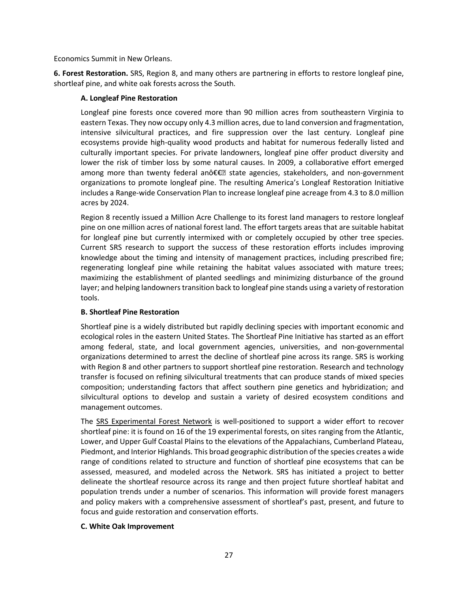Economics Summit in New Orleans.

**6. Forest Restoration.** SRS, Region 8, and many others are partnering in efforts to restore longleaf pine, shortleaf pine, and white oak forests across the South.

### **A. Longleaf Pine Restoration**

Longleaf pine forests once covered more than 90 million acres from southeastern Virginia to eastern Texas. They now occupy only 4.3 million acres, due to land conversion and fragmentation, intensive silvicultural practices, and fire suppression over the last century. Longleaf pine ecosystems provide high-quality wood products and habitat for numerous federally listed and culturally important species. For private landowners, longleaf pine offer product diversity and lower the risk of timber loss by some natural causes. In 2009, a collaborative effort emerged among more than twenty federal anô€€• state agencies, stakeholders, and non-government organizations to promote longleaf pine. The resulting America's Longleaf Restoration Initiative includes a Range-wide Conservation Plan to increase longleaf pine acreage from 4.3 to 8.0 million acres by 2024.

Region 8 recently issued a Million Acre Challenge to its forest land managers to restore longleaf pine on one million acres of national forest land. The effort targets areas that are suitable habitat for longleaf pine but currently intermixed with or completely occupied by other tree species. Current SRS research to support the success of these restoration efforts includes improving knowledge about the timing and intensity of management practices, including prescribed fire; regenerating longleaf pine while retaining the habitat values associated with mature trees; maximizing the establishment of planted seedlings and minimizing disturbance of the ground layer; and helping landowners transition back to longleaf pine stands using a variety of restoration tools.

# **B. Shortleaf Pine Restoration**

Shortleaf pine is a widely distributed but rapidly declining species with important economic and ecological roles in the eastern United States. The Shortleaf Pine Initiative has started as an effort among federal, state, and local government agencies, universities, and non-governmental organizations determined to arrest the decline of shortleaf pine across its range. SRS is working with Region 8 and other partners to support shortleaf pine restoration. Research and technology transfer is focused on refining silvicultural treatments that can produce stands of mixed species composition; understanding factors that affect southern pine genetics and hybridization; and silvicultural options to develop and sustain a variety of desired ecosystem conditions and management outcomes.

The SRS Experimental Forest Network is well-positioned to support a wider effort to recover shortleaf pine: it is found on 16 of the 19 experimental forests, on sites ranging from the Atlantic, Lower, and Upper Gulf Coastal Plains to the elevations of the Appalachians, Cumberland Plateau, Piedmont, and Interior Highlands. This broad geographic distribution of the species creates a wide range of conditions related to structure and function of shortleaf pine ecosystems that can be assessed, measured, and modeled across the Network. SRS has initiated a project to better delineate the shortleaf resource across its range and then project future shortleaf habitat and population trends under a number of scenarios. This information will provide forest managers and policy makers with a comprehensive assessment of shortleaf's past, present, and future to focus and guide restoration and conservation efforts.

# **C. White Oak Improvement**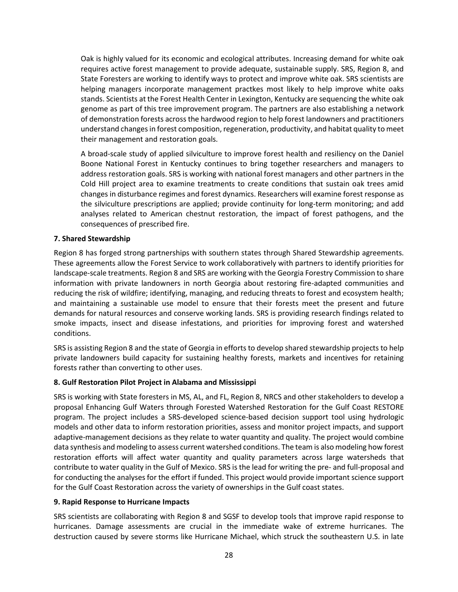Oak is highly valued for its economic and ecological attributes. Increasing demand for white oak requires active forest management to provide adequate, sustainable supply. SRS, Region 8, and State Foresters are working to identify ways to protect and improve white oak. SRS scientists are helping managers incorporate management practkes most likely to help improve white oaks stands. Scientists at the Forest Health Center in Lexington, Kentucky are sequencing the white oak genome as part of this tree improvement program. The partners are also establishing a network of demonstration forests across the hardwood region to help forest landowners and practitioners understand changes in forest composition, regeneration, productivity, and habitat quality to meet their management and restoration goals.

A broad-scale study of applied silviculture to improve forest health and resiliency on the Daniel Boone National Forest in Kentucky continues to bring together researchers and managers to address restoration goals. SRS is working with national forest managers and other partners in the Cold Hill project area to examine treatments to create conditions that sustain oak trees amid changes in disturbance regimes and forest dynamics. Researchers will examine forest response as the silviculture prescriptions are applied; provide continuity for long-term monitoring; and add analyses related to American chestnut restoration, the impact of forest pathogens, and the consequences of prescribed fire.

### **7. Shared Stewardship**

Region 8 has forged strong partnerships with southern states through Shared Stewardship agreements. These agreements allow the Forest Service to work collaboratively with partners to identify priorities for landscape-scale treatments. Region 8 and SRS are working with the Georgia Forestry Commission to share information with private landowners in north Georgia about restoring fire-adapted communities and reducing the risk of wildfire; identifying, managing, and reducing threats to forest and ecosystem health; and maintaining a sustainable use model to ensure that their forests meet the present and future demands for natural resources and conserve working lands. SRS is providing research findings related to smoke impacts, insect and disease infestations, and priorities for improving forest and watershed conditions.

SRS is assisting Region 8 and the state of Georgia in efforts to develop shared stewardship projects to help private landowners build capacity for sustaining healthy forests, markets and incentives for retaining forests rather than converting to other uses.

# **8. Gulf Restoration Pilot Project in Alabama and Mississippi**

SRS is working with State foresters in MS, AL, and FL, Region 8, NRCS and other stakeholders to develop a proposal Enhancing Gulf Waters through Forested Watershed Restoration for the Gulf Coast RESTORE program. The project includes a SRS-developed science-based decision support tool using hydrologic models and other data to inform restoration priorities, assess and monitor project impacts, and support adaptive-management decisions as they relate to water quantity and quality. The project would combine data synthesis and modeling to assess current watershed conditions. The team is also modeling how forest restoration efforts will affect water quantity and quality parameters across large watersheds that contribute to water quality in the Gulf of Mexico. SRS is the lead for writing the pre- and full-proposal and for conducting the analyses for the effort if funded. This project would provide important science support for the Gulf Coast Restoration across the variety of ownerships in the Gulf coast states.

### **9. Rapid Response to Hurricane Impacts**

SRS scientists are collaborating with Region 8 and SGSF to develop tools that improve rapid response to hurricanes. Damage assessments are crucial in the immediate wake of extreme hurricanes. The destruction caused by severe storms like Hurricane Michael, which struck the southeastern U.S. in late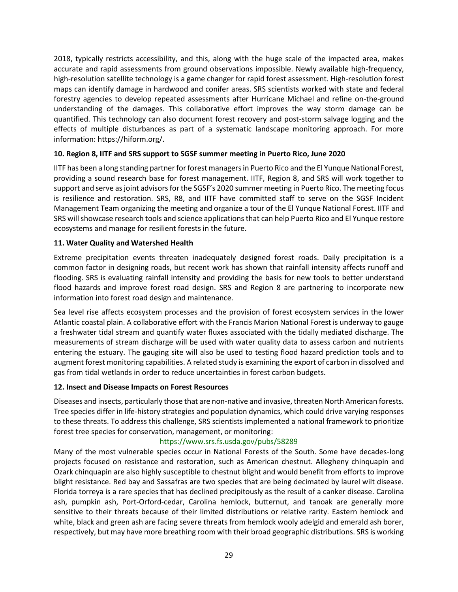2018, typically restricts accessibility, and this, along with the huge scale of the impacted area, makes accurate and rapid assessments from ground observations impossible. Newly available high-frequency, high-resolution satellite technology is a game changer for rapid forest assessment. High-resolution forest maps can identify damage in hardwood and conifer areas. SRS scientists worked with state and federal forestry agencies to develop repeated assessments after Hurricane Michael and refine on-the-ground understanding of the damages. This collaborative effort improves the way storm damage can be quantified. This technology can also document forest recovery and post-storm salvage logging and the effects of multiple disturbances as part of a systematic landscape monitoring approach. For more information: https://hiform.org/.

## **10. Region 8, IITF and SRS support to SGSF summer meeting in Puerto Rico, June 2020**

IITF has been a long standing partner for forest managers in Puerto Rico and the El Yunque National Forest, providing a sound research base for forest management. IITF, Region 8, and SRS will work together to support and serve as joint advisors for the SGSF's 2020 summer meeting in Puerto Rico. The meeting focus is resilience and restoration. SRS, R8, and IITF have committed staff to serve on the SGSF Incident Management Team organizing the meeting and organize a tour of the El Yunque National Forest. IITF and SRS will showcase research tools and science applications that can help Puerto Rico and El Yunque restore ecosystems and manage for resilient forests in the future.

## **11. Water Quality and Watershed Health**

Extreme precipitation events threaten inadequately designed forest roads. Daily precipitation is a common factor in designing roads, but recent work has shown that rainfall intensity affects runoff and flooding. SRS is evaluating rainfall intensity and providing the basis for new tools to better understand flood hazards and improve forest road design. SRS and Region 8 are partnering to incorporate new information into forest road design and maintenance.

Sea level rise affects ecosystem processes and the provision of forest ecosystem services in the lower Atlantic coastal plain. A collaborative effort with the Francis Marion National Forest is underway to gauge a freshwater tidal stream and quantify water fluxes associated with the tidally mediated discharge. The measurements of stream discharge will be used with water quality data to assess carbon and nutrients entering the estuary. The gauging site will also be used to testing flood hazard prediction tools and to augment forest monitoring capabilities. A related study is examining the export of carbon in dissolved and gas from tidal wetlands in order to reduce uncertainties in forest carbon budgets.

### **12. Insect and Disease Impacts on Forest Resources**

Diseases and insects, particularly those that are non-native and invasive, threaten North American forests. Tree species differ in life-history strategies and population dynamics, which could drive varying responses to these threats. To address this challenge, SRS scientists implemented a national framework to prioritize forest tree species for conservation, management, or monitoring:

### <https://www.srs.fs.usda.gov/pubs/58289>

Many of the most vulnerable species occur in National Forests of the South. Some have decades-long projects focused on resistance and restoration, such as American chestnut. Allegheny chinquapin and Ozark chinquapin are also highly susceptible to chestnut blight and would benefit from efforts to improve blight resistance. Red bay and Sassafras are two species that are being decimated by laurel wilt disease. Florida torreya is a rare species that has declined precipitously as the result of a canker disease. Carolina ash, pumpkin ash, Port-Orford-cedar, Carolina hemlock, butternut, and tanoak are generally more sensitive to their threats because of their limited distributions or relative rarity. Eastern hemlock and white, black and green ash are facing severe threats from hemlock wooly adelgid and emerald ash borer, respectively, but may have more breathing room with their broad geographic distributions. SRS is working